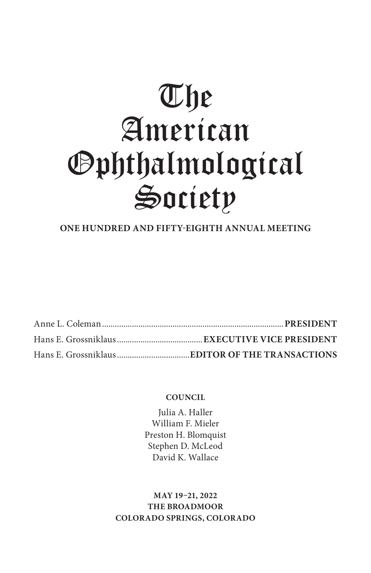# The American Ophthalmological Society

#### **ONE HUNDRED AND FIFTY-EIGHTH ANNUAL MEETING**

#### **COUNCIL**

Julia A. Haller William F. Mieler Preston H. Blomquist Stephen D. McLeod David K. Wallace

**MAY 19–21, 2022 THE BROADMOOR COLORADO SPRINGS, COLORADO**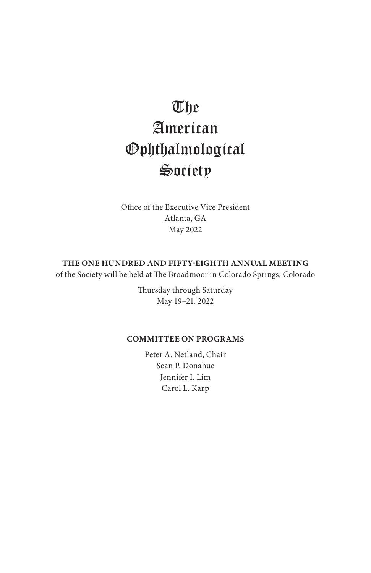## The American Ophthalmological Society

Office of the Executive Vice President Atlanta, GA May 2022

#### **THE ONE HUNDRED AND FIFTY-EIGHTH ANNUAL MEETING**

of the Society will be held at The Broadmoor in Colorado Springs, Colorado

Thursday through Saturday May 19–21, 2022

#### **COMMITTEE ON PROGRAMS**

Peter A. Netland, Chair Sean P. Donahue Jennifer I. Lim Carol L. Karp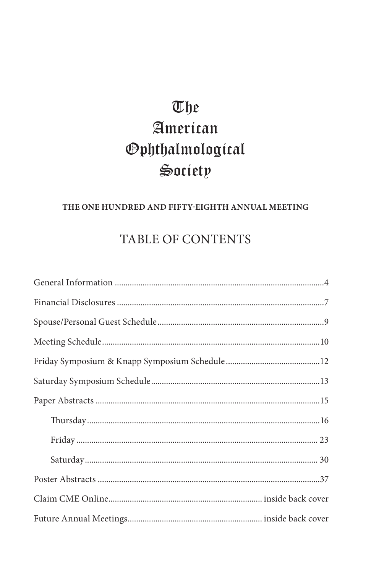# The American *Ophthalmological* Society

#### THE ONE HUNDRED AND FIFTY-EIGHTH ANNUAL MEETING

### **TABLE OF CONTENTS**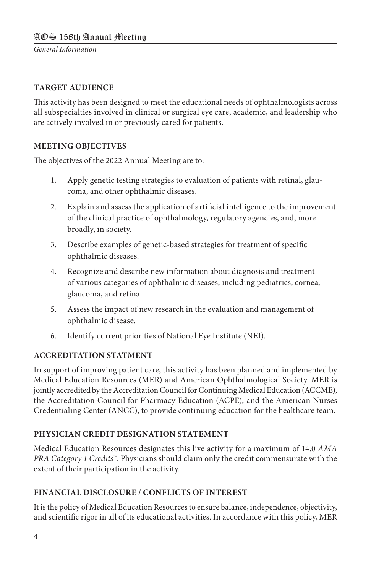*General Information*

#### **TARGET AUDIENCE**

This activity has been designed to meet the educational needs of ophthalmologists across all subspecialties involved in clinical or surgical eye care, academic, and leadership who are actively involved in or previously cared for patients.

#### **MEETING OBJECTIVES**

The objectives of the 2022 Annual Meeting are to:

- 1. Apply genetic testing strategies to evaluation of patients with retinal, glaucoma, and other ophthalmic diseases.
- 2. Explain and assess the application of artificial intelligence to the improvement of the clinical practice of ophthalmology, regulatory agencies, and, more broadly, in society.
- 3. Describe examples of genetic-based strategies for treatment of specific ophthalmic diseases.
- 4. Recognize and describe new information about diagnosis and treatment of various categories of ophthalmic diseases, including pediatrics, cornea, glaucoma, and retina.
- 5. Assess the impact of new research in the evaluation and management of ophthalmic disease.
- 6. Identify current priorities of National Eye Institute (NEI).

#### **ACCREDITATION STATMENT**

In support of improving patient care, this activity has been planned and implemented by Medical Education Resources (MER) and American Ophthalmological Society. MER is jointly accredited by the Accreditation Council for Continuing Medical Education (ACCME), the Accreditation Council for Pharmacy Education (ACPE), and the American Nurses Credentialing Center (ANCC), to provide continuing education for the healthcare team.

#### **PHYSICIAN CREDIT DESIGNATION STATEMENT**

Medical Education Resources designates this live activity for a maximum of 14.0 *AMA PRA Category 1 Credits™*. Physicians should claim only the credit commensurate with the extent of their participation in the activity.

#### **FINANCIAL DISCLOSURE / CONFLICTS OF INTEREST**

It is the policy of Medical Education Resources to ensure balance, independence, objectivity, and scientific rigor in all of its educational activities. In accordance with this policy, MER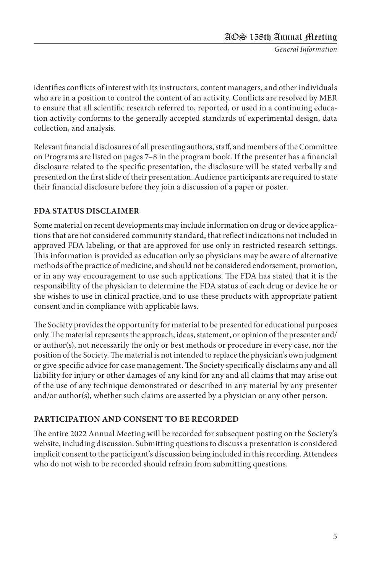*General Information*

identifies conflicts of interest with its instructors, content managers, and other individuals who are in a position to control the content of an activity. Conflicts are resolved by MER to ensure that all scientific research referred to, reported, or used in a continuing education activity conforms to the generally accepted standards of experimental design, data collection, and analysis.

Relevant financial disclosures of all presenting authors, staff, and members of the Committee on Programs are listed on pages 7–8 in the program book. If the presenter has a financial disclosure related to the specific presentation, the disclosure will be stated verbally and presented on the first slide of their presentation. Audience participants are required to state their financial disclosure before they join a discussion of a paper or poster.

#### **FDA STATUS DISCLAIMER**

Some material on recent developments may include information on drug or device applications that are not considered community standard, that reflect indications not included in approved FDA labeling, or that are approved for use only in restricted research settings. This information is provided as education only so physicians may be aware of alternative methods of the practice of medicine, and should not be considered endorsement, promotion, or in any way encouragement to use such applications. The FDA has stated that it is the responsibility of the physician to determine the FDA status of each drug or device he or she wishes to use in clinical practice, and to use these products with appropriate patient consent and in compliance with applicable laws.

The Society provides the opportunity for material to be presented for educational purposes only. The material represents the approach, ideas, statement, or opinion of the presenter and/ or author(s), not necessarily the only or best methods or procedure in every case, nor the position of the Society. The material is not intended to replace the physician's own judgment or give specific advice for case management. The Society specifically disclaims any and all liability for injury or other damages of any kind for any and all claims that may arise out of the use of any technique demonstrated or described in any material by any presenter and/or author(s), whether such claims are asserted by a physician or any other person.

#### **PARTICIPATION AND CONSENT TO BE RECORDED**

The entire 2022 Annual Meeting will be recorded for subsequent posting on the Society's website, including discussion. Submitting questions to discuss a presentation is considered implicit consent to the participant's discussion being included in this recording. Attendees who do not wish to be recorded should refrain from submitting questions.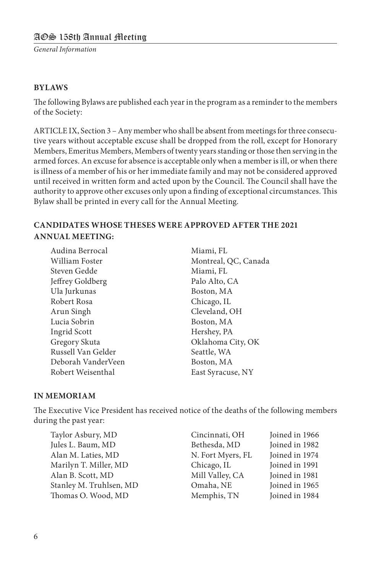#### AOS 158th Annual Meeting

*General Information*

#### **BYLAWS**

The following Bylaws are published each year in the program as a reminder to the members of the Society:

ARTICLE IX, Section 3 – Any member who shall be absent from meetings for three consecutive years without acceptable excuse shall be dropped from the roll, except for Honorary Members, Emeritus Members, Members of twenty years standing or those then serving in the armed forces. An excuse for absence is acceptable only when a member is ill, or when there is illness of a member of his or her immediate family and may not be considered approved until received in written form and acted upon by the Council. The Council shall have the authority to approve other excuses only upon a finding of exceptional circumstances. This Bylaw shall be printed in every call for the Annual Meeting.

#### **CANDIDATES WHOSE THESES WERE APPROVED AFTER THE 2021 ANNUAL MEETING:**

Audina Berrocal Miami, FL Steven Gedde Miami, FL Jeffrey Goldberg Palo Alto, CA Ula Jurkunas Boston, MA Robert Rosa Chicago, IL Arun Singh Cleveland, OH Lucia Sobrin Boston, MA Ingrid Scott Hershey, PA Gregory Skuta Oklahoma City, OK Russell Van Gelder Seattle, WA Deborah VanderVeen Boston, MA Robert Weisenthal East Syracuse, NY

William Foster Montreal, QC, Canada

#### **IN MEMORIAM**

The Executive Vice President has received notice of the deaths of the following members during the past year:

| Taylor Asbury, MD       | Cincinnati, OH    | Joined in 1966 |
|-------------------------|-------------------|----------------|
| Jules L. Baum, MD       | Bethesda, MD      | Joined in 1982 |
| Alan M. Laties, MD      | N. Fort Myers, FL | Joined in 1974 |
| Marilyn T. Miller, MD   | Chicago, IL       | Joined in 1991 |
| Alan B. Scott, MD       | Mill Valley, CA   | Joined in 1981 |
| Stanley M. Truhlsen, MD | Omaha, NE         | Joined in 1965 |
| Thomas O. Wood, MD      | Memphis, TN       | Joined in 1984 |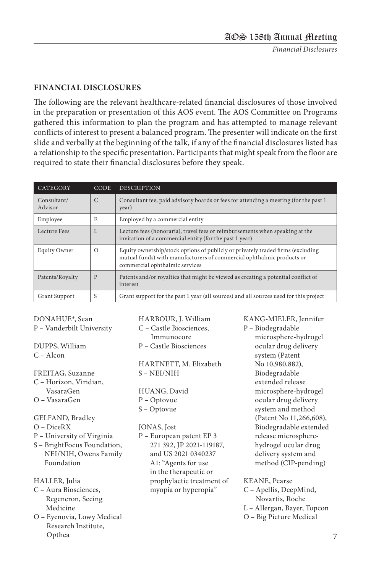*Financial Disclosures*

#### **FINANCIAL DISCLOSURES**

The following are the relevant healthcare-related financial disclosures of those involved in the preparation or presentation of this AOS event. The AOS Committee on Programs gathered this information to plan the program and has attempted to manage relevant conflicts of interest to present a balanced program. The presenter will indicate on the first slide and verbally at the beginning of the talk, if any of the financial disclosures listed has a relationship to the specific presentation. Participants that might speak from the floor are required to state their financial disclosures before they speak.

| CATEGORY               | <b>CODE</b>  | <b>DESCRIPTION</b>                                                                                                                                                                         |
|------------------------|--------------|--------------------------------------------------------------------------------------------------------------------------------------------------------------------------------------------|
| Consultant/<br>Advisor | $\mathsf{C}$ | Consultant fee, paid advisory boards or fees for attending a meeting (for the past 1)<br>year)                                                                                             |
| Employee               | E            | Employed by a commercial entity                                                                                                                                                            |
| Lecture Fees           | L            | Lecture fees (honoraria), travel fees or reimbursements when speaking at the<br>invitation of a commercial entity (for the past 1 year)                                                    |
| Equity Owner           | $\Omega$     | Equity ownership/stock options of publicly or privately traded firms (excluding<br>mutual funds) with manufacturers of commercial ophthalmic products or<br>commercial ophthalmic services |
| Patents/Royalty        | P            | Patents and/or royalties that might be viewed as creating a potential conflict of<br>interest                                                                                              |
| <b>Grant Support</b>   | S            | Grant support for the past 1 year (all sources) and all sources used for this project                                                                                                      |

DONAHUE\*, Sean P – Vanderbilt University

DUPPS, William C – Alcon

- FREITAG, Suzanne C – Horizon, Viridian, VasaraGen O – VasaraGen
- 
- GELFAND, Bradley
- O DiceRX
- P University of Virginia
- S BrightFocus Foundation, NEI/NIH, Owens Family Foundation
- HALLER, Julia
- C Aura Biosciences, Regeneron, Seeing Medicine
- O Eyenovia, Lowy Medical Research Institute, Opthea

HARBOUR, J. William C – Castle Biosciences, Immunocore P – Castle Biosciences

HARTNETT, M. Elizabeth S – NEI/NIH

HUANG, David P – Optovue S – Optovue

#### JONAS, Jost

- P European patent EP 3 271 392, JP 2021-119187, and US 2021 0340237 A1: "Agents for use in the therapeutic or prophylactic treatment of myopia or hyperopia"
- KANG-MIELER, Jennifer P – Biodegradable microsphere-hydrogel ocular drug delivery system (Patent No 10,980,882), Biodegradable extended release microsphere-hydrogel ocular drug delivery system and method (Patent No 11,266,608), Biodegradable extended release microspherehydrogel ocular drug delivery system and method (CIP-pending)

KEANE, Pearse

- C Apellis, DeepMind, Novartis, Roche
- L Allergan, Bayer, Topcon
- O Big Picture Medical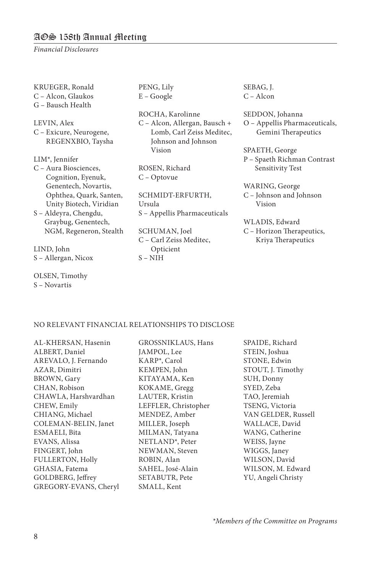#### AOS 158th Annual Meeting

*Financial Disclosures*

KRUEGER, Ronald C – Alcon, Glaukos G – Bausch Health

LEVIN, Alex C – Exicure, Neurogene, REGENXBIO, Taysha

LIM\*, Jennifer C – Aura Biosciences, Cognition, Eyenuk, Genentech, Novartis, Ophthea, Quark, Santen, Unity Biotech, Viridian

S – Aldeyra, Chengdu, Graybug, Genentech, NGM, Regeneron, Stealth

LIND, John S – Allergan, Nicox

OLSEN, Timothy S – Novartis

PENG, Lily E – Google

ROCHA, Karolinne C – Alcon, Allergan, Bausch + Lomb, Carl Zeiss Meditec, Johnson and Johnson Vision

ROSEN, Richard C – Optovue

SCHMIDT-ERFURTH, Ursula S – Appellis Pharmaceuticals

SCHUMAN, Joel C – Carl Zeiss Meditec, Opticient S – NIH

SEBAG, J. C – Alcon

SEDDON, Johanna O – Appellis Pharmaceuticals, Gemini Therapeutics

SPAETH, George P – Spaeth Richman Contrast Sensitivity Test

WARING, George C – Johnson and Johnson Vision

#### WLADIS, Edward C – Horizon Therapeutics, Kriya Therapeutics

#### NO RELEVANT FINANCIAL RELATIONSHIPS TO DISCLOSE

AL-KHERSAN, Hasenin ALBERT, Daniel AREVALO, J. Fernando AZAR, Dimitri BROWN, Gary CHAN, Robison CHAWLA, Harshvardhan CHEW, Emily CHIANG, Michael COLEMAN-BELIN, Janet ESMAELI, Bita EVANS, Alissa FINGERT, John FULLERTON, Holly GHASIA, Fatema GOLDBERG, Jeffrey GREGORY-EVANS, Cheryl

GROSSNIKLAUS, Hans JAMPOL, Lee KARP\*, Carol KEMPEN, John KITAYAMA, Ken KOKAME, Gregg LAUTER, Kristin LEFFLER, Christopher MENDEZ, Amber MILLER, Joseph MILMAN, Tatyana NETLAND\*, Peter NEWMAN, Steven ROBIN, Alan SAHEL, José-Alain SETABUTR, Pete SMALL, Kent

SPAIDE, Richard STEIN, Joshua STONE, Edwin STOUT, J. Timothy SUH, Donny SYED, Zeba TAO, Jeremiah TSENG, Victoria VAN GELDER, Russell WALLACE, David WANG, Catherine WEISS, Jayne WIGGS, Janey WILSON, David WILSON, M. Edward YU, Angeli Christy

\**Members of the Committee on Programs*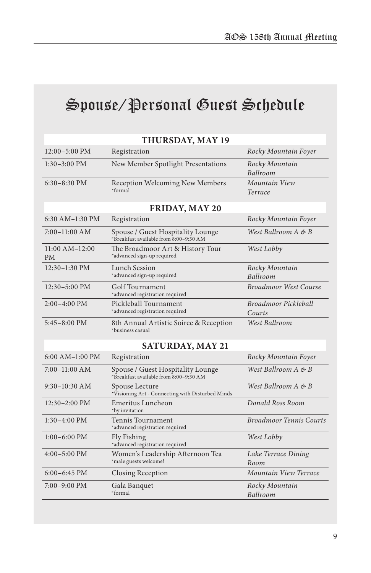# Spouse/Personal Guest Schedule

|                                  | THURSDAY, MAY 19                                                            |                                |  |
|----------------------------------|-----------------------------------------------------------------------------|--------------------------------|--|
| $12:00 - 5:00$ PM                | Registration                                                                | Rocky Mountain Foyer           |  |
| $1:30-3:00$ PM                   | New Member Spotlight Presentations                                          | Rocky Mountain<br>Ballroom     |  |
| $6:30-8:30$ PM                   | Reception Welcoming New Members<br>*formal                                  | Mountain View<br>Terrace       |  |
|                                  | FRIDAY, MAY 20                                                              |                                |  |
| 6:30 AM-1:30 PM                  | Registration                                                                | Rocky Mountain Foyer           |  |
| $7:00-11:00$ AM                  | Spouse / Guest Hospitality Lounge<br>*Breakfast available from 8:00-9:30 AM | West Ballroom A & B            |  |
| $11:00$ AM $-12:00$<br><b>PM</b> | The Broadmoor Art & History Tour<br>*advanced sign-up required              | West Lobby                     |  |
| $12:30-1:30$ PM                  | Lunch Session<br>*advanced sign-up required                                 | Rocky Mountain<br>Ballroom     |  |
| $12:30 - 5:00$ PM                | Golf Tournament<br>*advanced registration required                          | <b>Broadmoor West Course</b>   |  |
| $2:00-4:00$ PM                   | Pickleball Tournament<br>*advanced registration required                    | Broadmoor Pickleball<br>Courts |  |
| $5:45-8:00$ PM                   | 8th Annual Artistic Soiree & Reception<br>*business casual                  | West Ballroom                  |  |
| <b>SATURDAY, MAY 21</b>          |                                                                             |                                |  |
| $6:00$ AM-1:00 PM                | Registration                                                                | Rocky Mountain Foyer           |  |
| $7:00-11:00$ AM                  | Spouse / Guest Hospitality Lounge<br>*Breakfast available from 8:00-9:30 AM | West Ballroom A & B            |  |
| $9:30-10:30$ AM                  | Spouse Lecture<br>*Visioning Art - Connecting with Disturbed Minds          | West Ballroom A & B            |  |
| 12:30-2:00 PM                    | Emeritus Luncheon<br>*by invitation                                         | Donald Ross Room               |  |
| $1:30-4:00$ PM                   | Tennis Tournament<br>*advanced registration required                        | <b>Broadmoor Tennis Courts</b> |  |
| $1:00-6:00$ PM                   | Fly Fishing<br>*advanced registration required                              | West Lobby                     |  |
| $4:00-5:00$ PM                   | Women's Leadership Afternoon Tea<br>*male guests welcome!                   | Lake Terrace Dining<br>Room    |  |
| $6:00-6:45$ PM                   | Closing Reception                                                           | Mountain View Terrace          |  |
| 7:00–9:00 PM                     | Gala Banquet<br>*formal                                                     | Rocky Mountain<br>Ballroom     |  |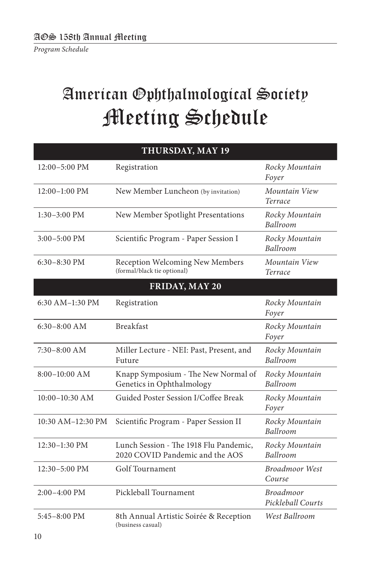# American Ophthalmological Society Meeting Schedule

| THURSDAY, MAY 19  |                                                                           |                                       |  |
|-------------------|---------------------------------------------------------------------------|---------------------------------------|--|
| 12:00-5:00 PM     | Registration                                                              | Rocky Mountain<br>Foyer               |  |
| $12:00-1:00$ PM   | New Member Luncheon (by invitation)                                       | Mountain View<br>Terrace              |  |
| $1:30-3:00$ PM    | New Member Spotlight Presentations                                        | Rocky Mountain<br>Ballroom            |  |
| $3:00 - 5:00$ PM  | Scientific Program - Paper Session I                                      | Rocky Mountain<br>Ballroom            |  |
| 6:30-8:30 PM      | Reception Welcoming New Members<br>(formal/black tie optional)            | Mountain View<br>Terrace              |  |
|                   | FRIDAY, MAY 20                                                            |                                       |  |
| 6:30 AM-1:30 PM   | Registration                                                              | Rocky Mountain<br>Foyer               |  |
| $6:30-8:00$ AM    | <b>Breakfast</b>                                                          | Rocky Mountain<br>Foyer               |  |
| $7:30-8:00$ AM    | Miller Lecture - NEI: Past, Present, and<br>Future                        | Rocky Mountain<br>Ballroom            |  |
| 8:00-10:00 AM     | Knapp Symposium - The New Normal of<br>Genetics in Ophthalmology          | Rocky Mountain<br>Ballroom            |  |
| 10:00-10:30 AM    | Guided Poster Session I/Coffee Break                                      | Rocky Mountain<br>Foyer               |  |
| 10:30 AM-12:30 PM | Scientific Program - Paper Session II                                     | Rocky Mountain<br>Ballroom            |  |
| $12:30-1:30$ PM   | Lunch Session - The 1918 Flu Pandemic,<br>2020 COVID Pandemic and the AOS | Rocky Mountain<br>Ballroom            |  |
| 12:30-5:00 PM     | Golf Tournament                                                           | <b>Broadmoor West</b><br>Course       |  |
| 2:00-4:00 PM      | Pickleball Tournament                                                     | <b>Broadmoor</b><br>Pickleball Courts |  |
| $5:45-8:00$ PM    | 8th Annual Artistic Soirée & Reception<br>(business casual)               | West Ballroom                         |  |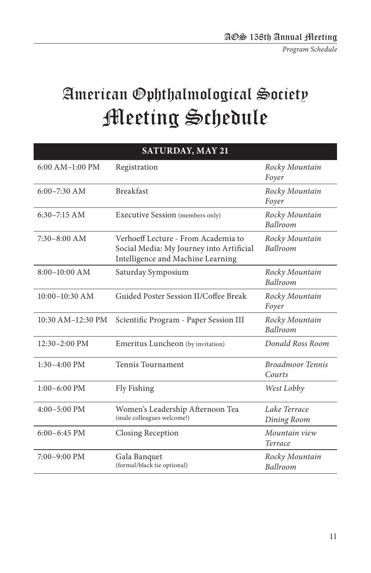*Program Schedule*

# American Ophthalmological Society Meeting Schedule

| <b>SATURDAY, MAY 21</b> |                                                                                                                      |                                   |  |
|-------------------------|----------------------------------------------------------------------------------------------------------------------|-----------------------------------|--|
| $6:00$ AM $-1:00$ PM    | Registration                                                                                                         | Rocky Mountain<br>Foyer           |  |
| $6:00 - 7:30$ AM        | <b>Breakfast</b>                                                                                                     | Rocky Mountain<br>Foyer           |  |
| $6:30-7:15$ AM          | Executive Session (members only)                                                                                     | Rocky Mountain<br>Ballroom        |  |
| $7:30-8:00$ AM          | Verhoeff Lecture - From Academia to<br>Social Media: My Journey into Artificial<br>Intelligence and Machine Learning | Rocky Mountain<br>Ballroom        |  |
| $8:00-10:00$ AM         | Saturday Symposium                                                                                                   | Rocky Mountain<br>Ballroom        |  |
| $10:00-10:30$ AM        | Guided Poster Session II/Coffee Break                                                                                | Rocky Mountain<br>Foyer           |  |
| 10:30 AM-12:30 PM       | Scientific Program - Paper Session III                                                                               | Rocky Mountain<br><b>Ballroom</b> |  |
| 12:30-2:00 PM           | Emeritus Luncheon (by invitation)                                                                                    | Donald Ross Room                  |  |
| $1:30-4:00$ PM          | Tennis Tournament                                                                                                    | <b>Broadmoor Tennis</b><br>Courts |  |
| $1:00-6:00$ PM          | Fly Fishing                                                                                                          | West Lobby                        |  |
| $4:00-5:00$ PM          | Women's Leadership Afternoon Tea<br>(male colleagues welcome!)                                                       | Lake Terrace<br>Dining Room       |  |
| $6:00 - 6:45$ PM        | Closing Reception                                                                                                    | Mountain view<br>Terrace          |  |
| $7:00-9:00$ PM          | Gala Banquet<br>(formal/black tie optional)                                                                          | Rocky Mountain<br>Ballroom        |  |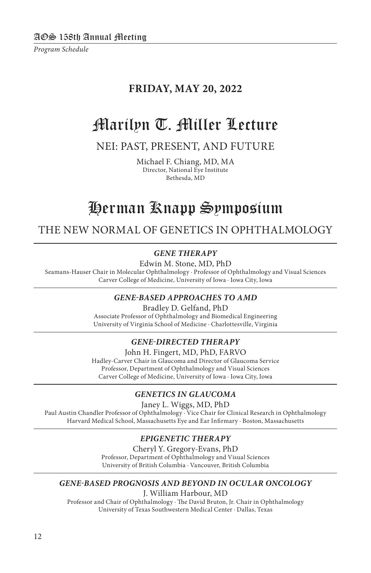*Program Schedule*

#### **FRIDAY, MAY 20, 2022**

## Marilyn T. Miller Lecture

#### NEI: PAST, PRESENT, AND FUTURE

Michael F. Chiang, MD, MA Director, National Eye Institute Bethesda, MD

## Herman Knapp Symposium

THE NEW NORMAL OF GENETICS IN OPHTHALMOLOGY

#### *GENE THERAPY*

Edwin M. Stone, MD, PhD

Seamans-Hauser Chair in Molecular Ophthalmology · Professor of Ophthalmology and Visual Sciences Carver College of Medicine, University of Iowa · Iowa City, Iowa

#### *GENE-BASED APPROACHES TO AMD*

Bradley D. Gelfand, PhD

Associate Professor of Ophthalmology and Biomedical Engineering University of Virginia School of Medicine · Charlottesville, Virginia

#### *GENE-DIRECTED THERAPY*

John H. Fingert, MD, PhD, FARVO Hadley-Carver Chair in Glaucoma and Director of Glaucoma Service Professor, Department of Ophthalmology and Visual Sciences Carver College of Medicine, University of Iowa · Iowa City, Iowa

#### *GENETICS IN GLAUCOMA*

Janey L. Wiggs, MD, PhD

Paul Austin Chandler Professor of Ophthalmology · Vice Chair for Clinical Research in Ophthalmology Harvard Medical School, Massachusetts Eye and Ear Infirmary · Boston, Massachusetts

#### *EPIGENETIC THERAPY*

Cheryl Y. Gregory-Evans, PhD Professor, Department of Ophthalmology and Visual Sciences University of British Columbia · Vancouver, British Columbia

#### *GENE-BASED PROGNOSIS AND BEYOND IN OCULAR ONCOLOGY*

J. William Harbour, MD

Professor and Chair of Ophthalmology · The David Bruton, Jr. Chair in Ophthalmology University of Texas Southwestern Medical Center · Dallas, Texas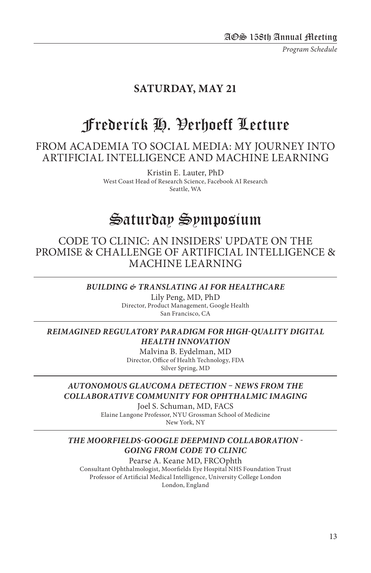*Program Schedule*

#### **SATURDAY, MAY 21**

## Frederick H. Verhoeff Lecture

FROM ACADEMIA TO SOCIAL MEDIA: MY JOURNEY INTO ARTIFICIAL INTELLIGENCE AND MACHINE LEARNING

> Kristin E. Lauter, PhD West Coast Head of Research Science, Facebook AI Research Seattle, WA

## Saturday Symposium

#### CODE TO CLINIC: AN INSIDERS' UPDATE ON THE PROMISE & CHALLENGE OF ARTIFICIAL INTELLIGENCE & MACHINE LEARNING

#### *BUILDING & TRANSLATING AI FOR HEALTHCARE*

Lily Peng, MD, PhD Director, Product Management, Google Health San Francisco, CA

#### *REIMAGINED REGULATORY PARADIGM FOR HIGH-QUALITY DIGITAL HEALTH INNOVATION*

Malvina B. Eydelman, MD Director, Office of Health Technology, FDA Silver Spring, MD

#### *AUTONOMOUS GLAUCOMA DETECTION – NEWS FROM THE COLLABORATIVE COMMUNITY FOR OPHTHALMIC IMAGING*

Joel S. Schuman, MD, FACS

Elaine Langone Professor, NYU Grossman School of Medicine New York, NY

#### *THE MOORFIELDS-GOOGLE DEEPMIND COLLABORATION - GOING FROM CODE TO CLINIC*

Pearse A. Keane MD, FRCOphth Consultant Ophthalmologist, Moorfields Eye Hospital NHS Foundation Trust Professor of Artificial Medical Intelligence, University College London London, England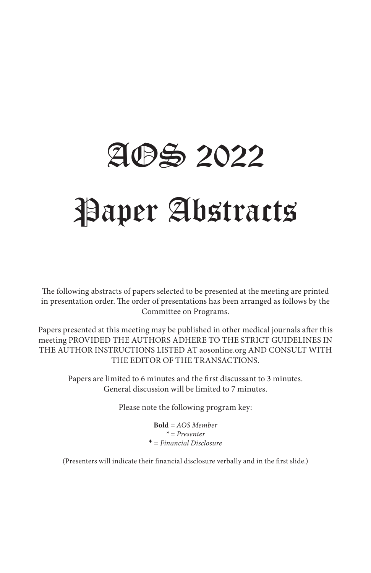# AOS 2022 Paper Abstracts

The following abstracts of papers selected to be presented at the meeting are printed in presentation order. The order of presentations has been arranged as follows by the Committee on Programs.

Papers presented at this meeting may be published in other medical journals after this meeting PROVIDED THE AUTHORS ADHERE TO THE STRICT GUIDELINES IN THE AUTHOR INSTRUCTIONS LISTED AT aosonline.org AND CONSULT WITH THE EDITOR OF THE TRANSACTIONS.

Papers are limited to 6 minutes and the first discussant to 3 minutes. General discussion will be limited to 7 minutes.

Please note the following program key:

**Bold** *= AOS Member \* = Presenter* <sup>t</sup> *= Financial Disclosure*

(Presenters will indicate their financial disclosure verbally and in the first slide.)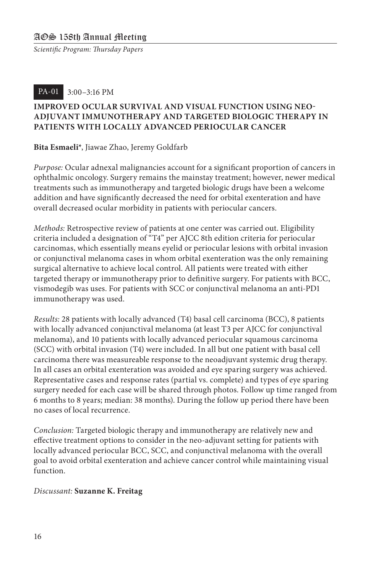#### PA-01 3:00–3:16 PM

#### **IMPROVED OCULAR SURVIVAL AND VISUAL FUNCTION USING NEO-ADJUVANT IMMUNOTHERAPY AND TARGETED BIOLOGIC THERAPY IN PATIENTS WITH LOCALLY ADVANCED PERIOCULAR CANCER**

#### **Bita Esmaeli\***, Jiawae Zhao, Jeremy Goldfarb

*Purpose:* Ocular adnexal malignancies account for a significant proportion of cancers in ophthalmic oncology. Surgery remains the mainstay treatment; however, newer medical treatments such as immunotherapy and targeted biologic drugs have been a welcome addition and have significantly decreased the need for orbital exenteration and have overall decreased ocular morbidity in patients with periocular cancers.

*Methods:* Retrospective review of patients at one center was carried out. Eligibility criteria included a designation of "T4" per AJCC 8th edition criteria for periocular carcinomas, which essentially means eyelid or periocular lesions with orbital invasion or conjunctival melanoma cases in whom orbital exenteration was the only remaining surgical alternative to achieve local control. All patients were treated with either targeted therapy or immunotherapy prior to definitive surgery. For patients with BCC, vismodegib was uses. For patients with SCC or conjunctival melanoma an anti-PD1 immunotherapy was used.

*Results:* 28 patients with locally advanced (T4) basal cell carcinoma (BCC), 8 patients with locally advanced conjunctival melanoma (at least T3 per AJCC for conjunctival melanoma), and 10 patients with locally advanced periocular squamous carcinoma (SCC) with orbital invasion (T4) were included. In all but one patient with basal cell carcinoma there was measureable response to the neoadjuvant systemic drug therapy. In all cases an orbital exenteration was avoided and eye sparing surgery was achieved. Representative cases and response rates (partial vs. complete) and types of eye sparing surgery needed for each case will be shared through photos. Follow up time ranged from 6 months to 8 years; median: 38 months). During the follow up period there have been no cases of local recurrence.

*Conclusion:* Targeted biologic therapy and immunotherapy are relatively new and effective treatment options to consider in the neo-adjuvant setting for patients with locally advanced periocular BCC, SCC, and conjunctival melanoma with the overall goal to avoid orbital exenteration and achieve cancer control while maintaining visual function.

#### *Discussant:* **Suzanne K. Freitag**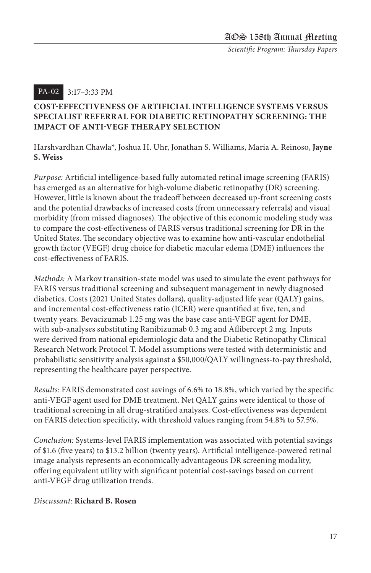#### 3:17–3:33 PM PA-02

#### **COST-EFFECTIVENESS OF ARTIFICIAL INTELLIGENCE SYSTEMS VERSUS SPECIALIST REFERRAL FOR DIABETIC RETINOPATHY SCREENING: THE IMPACT OF ANTI-VEGF THERAPY SELECTION**

Harshvardhan Chawla\*, Joshua H. Uhr, Jonathan S. Williams, Maria A. Reinoso, **Jayne S. Weiss**

*Purpose:* Artificial intelligence-based fully automated retinal image screening (FARIS) has emerged as an alternative for high-volume diabetic retinopathy (DR) screening. However, little is known about the tradeoff between decreased up-front screening costs and the potential drawbacks of increased costs (from unnecessary referrals) and visual morbidity (from missed diagnoses). The objective of this economic modeling study was to compare the cost-effectiveness of FARIS versus traditional screening for DR in the United States. The secondary objective was to examine how anti-vascular endothelial growth factor (VEGF) drug choice for diabetic macular edema (DME) influences the cost-effectiveness of FARIS.

*Methods:* A Markov transition-state model was used to simulate the event pathways for FARIS versus traditional screening and subsequent management in newly diagnosed diabetics. Costs (2021 United States dollars), quality-adjusted life year (QALY) gains, and incremental cost-effectiveness ratio (ICER) were quantified at five, ten, and twenty years. Bevacizumab 1.25 mg was the base case anti-VEGF agent for DME, with sub-analyses substituting Ranibizumab 0.3 mg and Aflibercept 2 mg. Inputs were derived from national epidemiologic data and the Diabetic Retinopathy Clinical Research Network Protocol T. Model assumptions were tested with deterministic and probabilistic sensitivity analysis against a \$50,000/QALY willingness-to-pay threshold, representing the healthcare payer perspective.

*Results:* FARIS demonstrated cost savings of 6.6% to 18.8%, which varied by the specific anti-VEGF agent used for DME treatment. Net QALY gains were identical to those of traditional screening in all drug-stratified analyses. Cost-effectiveness was dependent on FARIS detection specificity, with threshold values ranging from 54.8% to 57.5%.

*Conclusion:* Systems-level FARIS implementation was associated with potential savings of \$1.6 (five years) to \$13.2 billion (twenty years). Artificial intelligence-powered retinal image analysis represents an economically advantageous DR screening modality, offering equivalent utility with significant potential cost-savings based on current anti-VEGF drug utilization trends.

#### *Discussant:* **Richard B. Rosen**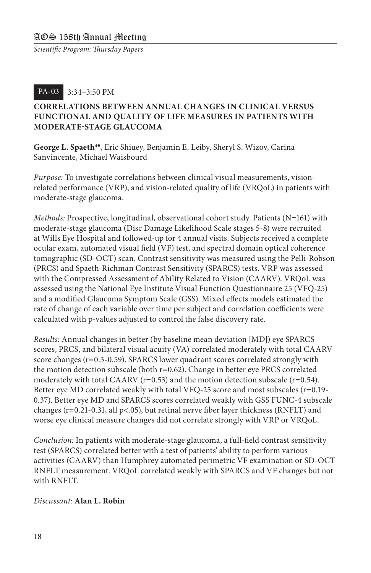#### 3:34–3:50 PM PA-03

#### **CORRELATIONS BETWEEN ANNUAL CHANGES IN CLINICAL VERSUS FUNCTIONAL AND QUALITY OF LIFE MEASURES IN PATIENTS WITH MODERATE-STAGE GLAUCOMA**

**George L. Spaeth\***t, Eric Shiuey, Benjamin E. Leiby, Sheryl S. Wizov, Carina Sanvincente, Michael Waisbourd

*Purpose:* To investigate correlations between clinical visual measurements, visionrelated performance (VRP), and vision-related quality of life (VRQoL) in patients with moderate-stage glaucoma.

*Methods:* Prospective, longitudinal, observational cohort study. Patients (N=161) with moderate-stage glaucoma (Disc Damage Likelihood Scale stages 5-8) were recruited at Wills Eye Hospital and followed-up for 4 annual visits. Subjects received a complete ocular exam, automated visual field (VF) test, and spectral domain optical coherence tomographic (SD-OCT) scan. Contrast sensitivity was measured using the Pelli-Robson (PRCS) and Spaeth-Richman Contrast Sensitivity (SPARCS) tests. VRP was assessed with the Compressed Assessment of Ability Related to Vision (CAARV). VRQoL was assessed using the National Eye Institute Visual Function Questionnaire 25 (VFQ-25) and a modified Glaucoma Symptom Scale (GSS). Mixed effects models estimated the rate of change of each variable over time per subject and correlation coefficients were calculated with p-values adjusted to control the false discovery rate.

*Results:* Annual changes in better (by baseline mean deviation [MD]) eye SPARCS scores, PRCS, and bilateral visual acuity (VA) correlated moderately with total CAARV score changes (r=0.3-0.59). SPARCS lower quadrant scores correlated strongly with the motion detection subscale (both  $r=0.62$ ). Change in better eye PRCS correlated moderately with total CAARV ( $r=0.53$ ) and the motion detection subscale ( $r=0.54$ ). Better eye MD correlated weakly with total VFQ-25 score and most subscales (r=0.19- 0.37). Better eye MD and SPARCS scores correlated weakly with GSS FUNC-4 subscale changes ( $r=0.21-0.31$ , all  $p<0.65$ ), but retinal nerve fiber layer thickness (RNFLT) and worse eye clinical measure changes did not correlate strongly with VRP or VRQoL.

*Conclusion:* In patients with moderate-stage glaucoma, a full-field contrast sensitivity test (SPARCS) correlated better with a test of patients' ability to perform various activities (CAARV) than Humphrey automated perimetric VF examination or SD-OCT RNFLT measurement. VRQoL correlated weakly with SPARCS and VF changes but not with RNFLT.

#### *Discussant:* **Alan L. Robin**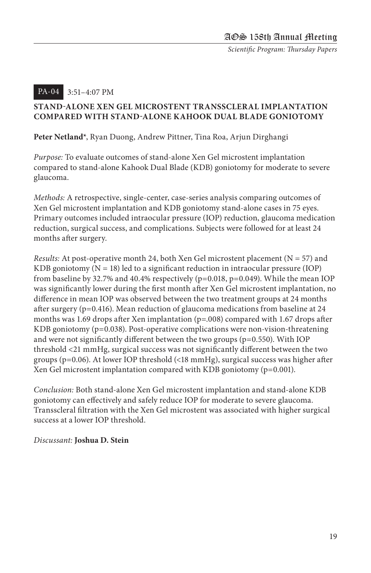#### 3:51–4:07 PM PA-04

#### **STAND-ALONE XEN GEL MICROSTENT TRANSSCLERAL IMPLANTATION COMPARED WITH STAND-ALONE KAHOOK DUAL BLADE GONIOTOMY**

**Peter Netland\***, Ryan Duong, Andrew Pittner, Tina Roa, Arjun Dirghangi

*Purpose:* To evaluate outcomes of stand-alone Xen Gel microstent implantation compared to stand-alone Kahook Dual Blade (KDB) goniotomy for moderate to severe glaucoma.

*Methods:* A retrospective, single-center, case-series analysis comparing outcomes of Xen Gel microstent implantation and KDB goniotomy stand-alone cases in 75 eyes. Primary outcomes included intraocular pressure (IOP) reduction, glaucoma medication reduction, surgical success, and complications. Subjects were followed for at least 24 months after surgery.

*Results:* At post-operative month 24, both Xen Gel microstent placement (N = 57) and KDB goniotomy  $(N = 18)$  led to a significant reduction in intraocular pressure (IOP) from baseline by 32.7% and 40.4% respectively (p=0.018, p=0.049). While the mean IOP was significantly lower during the first month after Xen Gel microstent implantation, no difference in mean IOP was observed between the two treatment groups at 24 months after surgery ( $p=0.416$ ). Mean reduction of glaucoma medications from baseline at 24 months was 1.69 drops after Xen implantation (p=.008) compared with 1.67 drops after KDB goniotomy (p=0.038). Post-operative complications were non-vision-threatening and were not significantly different between the two groups (p=0.550). With IOP threshold <21 mmHg, surgical success was not significantly different between the two groups ( $p=0.06$ ). At lower IOP threshold (<18 mmHg), surgical success was higher after Xen Gel microstent implantation compared with KDB goniotomy (p=0.001).

*Conclusion:* Both stand-alone Xen Gel microstent implantation and stand-alone KDB goniotomy can effectively and safely reduce IOP for moderate to severe glaucoma. Transscleral filtration with the Xen Gel microstent was associated with higher surgical success at a lower IOP threshold.

#### *Discussant:* **Joshua D. Stein**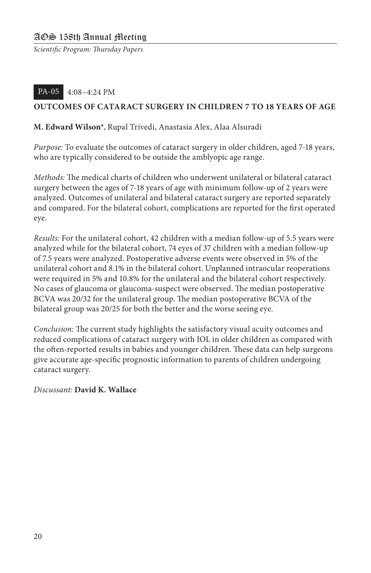#### 4:08–4:24 PM PA-05

#### **OUTCOMES OF CATARACT SURGERY IN CHILDREN 7 TO 18 YEARS OF AGE**

#### **M. Edward Wilson\***, Rupal Trivedi, Anastasia Alex, Alaa Alsuradi

*Purpose:* To evaluate the outcomes of cataract surgery in older children, aged 7-18 years, who are typically considered to be outside the amblyopic age range.

*Methods:* The medical charts of children who underwent unilateral or bilateral cataract surgery between the ages of 7-18 years of age with minimum follow-up of 2 years were analyzed. Outcomes of unilateral and bilateral cataract surgery are reported separately and compared. For the bilateral cohort, complications are reported for the first operated eye.

*Results:* For the unilateral cohort, 42 children with a median follow-up of 5.5 years were analyzed while for the bilateral cohort, 74 eyes of 37 children with a median follow-up of 7.5 years were analyzed. Postoperative adverse events were observed in 5% of the unilateral cohort and 8.1% in the bilateral cohort. Unplanned intraocular reoperations were required in 5% and 10.8% for the unilateral and the bilateral cohort respectively. No cases of glaucoma or glaucoma-suspect were observed. The median postoperative BCVA was 20/32 for the unilateral group. The median postoperative BCVA of the bilateral group was 20/25 for both the better and the worse seeing eye.

*Conclusion:* The current study highlights the satisfactory visual acuity outcomes and reduced complications of cataract surgery with IOL in older children as compared with the often-reported results in babies and younger children. These data can help surgeons give accurate age-specific prognostic information to parents of children undergoing cataract surgery.

#### *Discussant:* **David K. Wallace**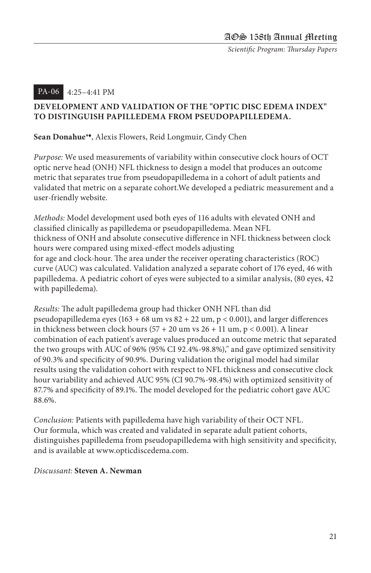#### 4:25–4:41 PM PA-06

#### **DEVELOPMENT AND VALIDATION OF THE "OPTIC DISC EDEMA INDEX" TO DISTINGUISH PAPILLEDEMA FROM PSEUDOPAPILLEDEMA.**

**Sean Donahue\***t, Alexis Flowers, Reid Longmuir, Cindy Chen

*Purpose:* We used measurements of variability within consecutive clock hours of OCT optic nerve head (ONH) NFL thickness to design a model that produces an outcome metric that separates true from pseudopapilledema in a cohort of adult patients and validated that metric on a separate cohort.We developed a pediatric measurement and a user-friendly website.

*Methods:* Model development used both eyes of 116 adults with elevated ONH and classified clinically as papilledema or pseudopapilledema. Mean NFL thickness of ONH and absolute consecutive difference in NFL thickness between clock hours were compared using mixed-effect models adjusting for age and clock-hour. The area under the receiver operating characteristics (ROC) curve (AUC) was calculated. Validation analyzed a separate cohort of 176 eyed, 46 with papilledema. A pediatric cohort of eyes were subjected to a similar analysis, (80 eyes, 42 with papilledema).

*Results:* The adult papilledema group had thicker ONH NFL than did pseudopapilledema eyes (163 + 68 um vs  $82 + 22$  um,  $p < 0.001$ ), and larger differences in thickness between clock hours  $(57 + 20 \text{ um vs } 26 + 11 \text{ um}, p < 0.001)$ . A linear combination of each patient's average values produced an outcome metric that separated the two groups with AUC of 96% (95% CI 92.4%-98.8%)," and gave optimized sensitivity of 90.3% and specificity of 90.9%. During validation the original model had similar results using the validation cohort with respect to NFL thickness and consecutive clock hour variability and achieved AUC 95% (CI 90.7%-98.4%) with optimized sensitivity of 87.7% and specificity of 89.1%. The model developed for the pediatric cohort gave AUC 88.6%.

*Conclusion:* Patients with papilledema have high variability of their OCT NFL. Our formula, which was created and validated in separate adult patient cohorts, distinguishes papilledema from pseudopapilledema with high sensitivity and specificity, and is available at www.opticdiscedema.com.

#### *Discussant:* **Steven A. Newman**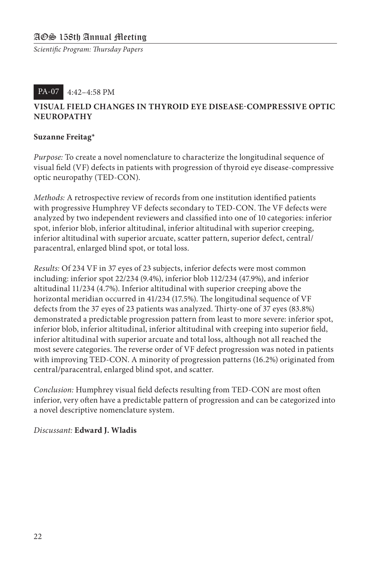#### 4:42–4:58 PM PA-07

#### **VISUAL FIELD CHANGES IN THYROID EYE DISEASE-COMPRESSIVE OPTIC NEUROPATHY**

#### **Suzanne Freitag\***

*Purpose:* To create a novel nomenclature to characterize the longitudinal sequence of visual field (VF) defects in patients with progression of thyroid eye disease-compressive optic neuropathy (TED-CON).

*Methods:* A retrospective review of records from one institution identified patients with progressive Humphrey VF defects secondary to TED-CON. The VF defects were analyzed by two independent reviewers and classified into one of 10 categories: inferior spot, inferior blob, inferior altitudinal, inferior altitudinal with superior creeping, inferior altitudinal with superior arcuate, scatter pattern, superior defect, central/ paracentral, enlarged blind spot, or total loss.

*Results:* Of 234 VF in 37 eyes of 23 subjects, inferior defects were most common including: inferior spot 22/234 (9.4%), inferior blob 112/234 (47.9%), and inferior altitudinal 11/234 (4.7%). Inferior altitudinal with superior creeping above the horizontal meridian occurred in 41/234 (17.5%). The longitudinal sequence of VF defects from the 37 eyes of 23 patients was analyzed. Thirty-one of 37 eyes (83.8%) demonstrated a predictable progression pattern from least to more severe: inferior spot, inferior blob, inferior altitudinal, inferior altitudinal with creeping into superior field, inferior altitudinal with superior arcuate and total loss, although not all reached the most severe categories. The reverse order of VF defect progression was noted in patients with improving TED-CON. A minority of progression patterns (16.2%) originated from central/paracentral, enlarged blind spot, and scatter.

*Conclusion:* Humphrey visual field defects resulting from TED-CON are most often inferior, very often have a predictable pattern of progression and can be categorized into a novel descriptive nomenclature system.

#### *Discussant:* **Edward J. Wladis**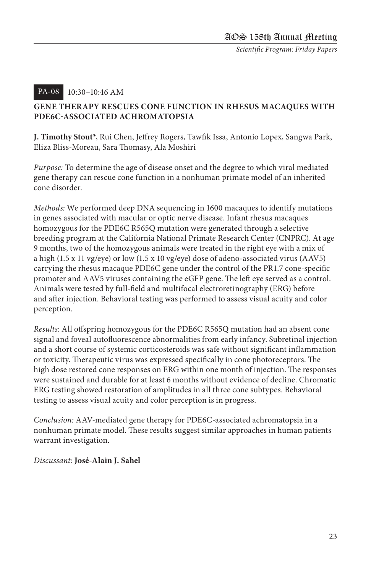#### 10:30–10:46 AM PA-08

#### **GENE THERAPY RESCUES CONE FUNCTION IN RHESUS MACAQUES WITH PDE6C-ASSOCIATED ACHROMATOPSIA**

**J. Timothy Stout\***, Rui Chen, Jeffrey Rogers, Tawfik Issa, Antonio Lopex, Sangwa Park, Eliza Bliss-Moreau, Sara Thomasy, Ala Moshiri

*Purpose:* To determine the age of disease onset and the degree to which viral mediated gene therapy can rescue cone function in a nonhuman primate model of an inherited cone disorder.

*Methods:* We performed deep DNA sequencing in 1600 macaques to identify mutations in genes associated with macular or optic nerve disease. Infant rhesus macaques homozygous for the PDE6C R565Q mutation were generated through a selective breeding program at the California National Primate Research Center (CNPRC). At age 9 months, two of the homozygous animals were treated in the right eye with a mix of a high (1.5 x 11 vg/eye) or low (1.5 x 10 vg/eye) dose of adeno-associated virus (AAV5) carrying the rhesus macaque PDE6C gene under the control of the PR1.7 cone-specific promoter and AAV5 viruses containing the eGFP gene. The left eye served as a control. Animals were tested by full-field and multifocal electroretinography (ERG) before and after injection. Behavioral testing was performed to assess visual acuity and color perception.

*Results:* All offspring homozygous for the PDE6C R565Q mutation had an absent cone signal and foveal autofluorescence abnormalities from early infancy. Subretinal injection and a short course of systemic corticosteroids was safe without significant inflammation or toxicity. Therapeutic virus was expressed specifically in cone photoreceptors. The high dose restored cone responses on ERG within one month of injection. The responses were sustained and durable for at least 6 months without evidence of decline. Chromatic ERG testing showed restoration of amplitudes in all three cone subtypes. Behavioral testing to assess visual acuity and color perception is in progress.

*Conclusion:* AAV-mediated gene therapy for PDE6C-associated achromatopsia in a nonhuman primate model. These results suggest similar approaches in human patients warrant investigation.

#### *Discussant:* **José-Alain J. Sahel**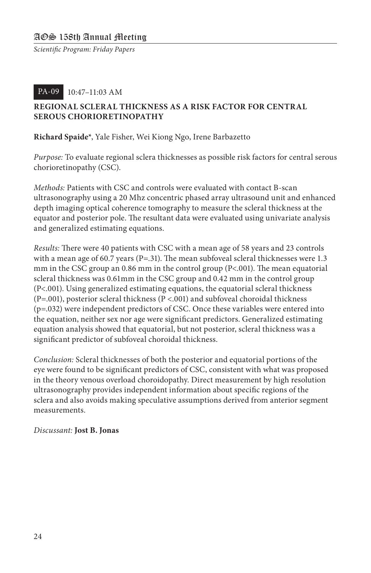#### 10:47–11:03 AM PA-09

#### **REGIONAL SCLERAL THICKNESS AS A RISK FACTOR FOR CENTRAL SEROUS CHORIORETINOPATHY**

#### **Richard Spaide\***, Yale Fisher, Wei Kiong Ngo, Irene Barbazetto

*Purpose:* To evaluate regional sclera thicknesses as possible risk factors for central serous chorioretinopathy (CSC).

*Methods:* Patients with CSC and controls were evaluated with contact B-scan ultrasonography using a 20 Mhz concentric phased array ultrasound unit and enhanced depth imaging optical coherence tomography to measure the scleral thickness at the equator and posterior pole. The resultant data were evaluated using univariate analysis and generalized estimating equations.

*Results:* There were 40 patients with CSC with a mean age of 58 years and 23 controls with a mean age of 60.7 years (P=.31). The mean subfoveal scleral thicknesses were  $1.3$ mm in the CSC group an 0.86 mm in the control group (P<.001). The mean equatorial scleral thickness was 0.61mm in the CSC group and 0.42 mm in the control group (P<.001). Using generalized estimating equations, the equatorial scleral thickness (P=.001), posterior scleral thickness (P <.001) and subfoveal choroidal thickness (p=.032) were independent predictors of CSC. Once these variables were entered into the equation, neither sex nor age were significant predictors. Generalized estimating equation analysis showed that equatorial, but not posterior, scleral thickness was a significant predictor of subfoveal choroidal thickness.

*Conclusion:* Scleral thicknesses of both the posterior and equatorial portions of the eye were found to be significant predictors of CSC, consistent with what was proposed in the theory venous overload choroidopathy. Direct measurement by high resolution ultrasonography provides independent information about specific regions of the sclera and also avoids making speculative assumptions derived from anterior segment measurements.

#### *Discussant:* **Jost B. Jonas**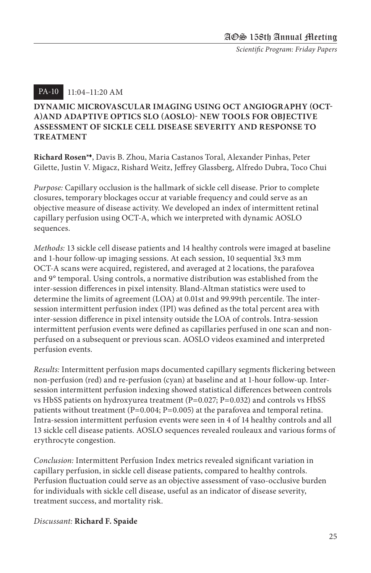#### 11:04–11:20 AM PA-10

#### **DYNAMIC MICROVASCULAR IMAGING USING OCT ANGIOGRAPHY (OCT-A)AND ADAPTIVE OPTICS SLO (AOSLO)- NEW TOOLS FOR OBJECTIVE ASSESSMENT OF SICKLE CELL DISEASE SEVERITY AND RESPONSE TO TREATMENT**

**Richard Rosen\***t, Davis B. Zhou, Maria Castanos Toral, Alexander Pinhas, Peter Gilette, Justin V. Migacz, Rishard Weitz, Jeffrey Glassberg, Alfredo Dubra, Toco Chui

*Purpose:* Capillary occlusion is the hallmark of sickle cell disease. Prior to complete closures, temporary blockages occur at variable frequency and could serve as an objective measure of disease activity. We developed an index of intermittent retinal capillary perfusion using OCT-A, which we interpreted with dynamic AOSLO sequences.

*Methods:* 13 sickle cell disease patients and 14 healthy controls were imaged at baseline and 1-hour follow-up imaging sessions. At each session, 10 sequential 3x3 mm OCT-A scans were acquired, registered, and averaged at 2 locations, the parafovea and 9° temporal. Using controls, a normative distribution was established from the inter-session differences in pixel intensity. Bland-Altman statistics were used to determine the limits of agreement (LOA) at 0.01st and 99.99th percentile. The intersession intermittent perfusion index (IPI) was defined as the total percent area with inter-session difference in pixel intensity outside the LOA of controls. Intra-session intermittent perfusion events were defined as capillaries perfused in one scan and nonperfused on a subsequent or previous scan. AOSLO videos examined and interpreted perfusion events.

*Results:* Intermittent perfusion maps documented capillary segments flickering between non-perfusion (red) and re-perfusion (cyan) at baseline and at 1-hour follow-up. Intersession intermittent perfusion indexing showed statistical differences between controls vs HbSS patients on hydroxyurea treatment (P=0.027; P=0.032) and controls vs HbSS patients without treatment (P=0.004; P=0.005) at the parafovea and temporal retina. Intra-session intermittent perfusion events were seen in 4 of 14 healthy controls and all 13 sickle cell disease patients. AOSLO sequences revealed rouleaux and various forms of erythrocyte congestion.

*Conclusion:* Intermittent Perfusion Index metrics revealed significant variation in capillary perfusion, in sickle cell disease patients, compared to healthy controls. Perfusion fluctuation could serve as an objective assessment of vaso-occlusive burden for individuals with sickle cell disease, useful as an indicator of disease severity, treatment success, and mortality risk.

#### *Discussant:* **Richard F. Spaide**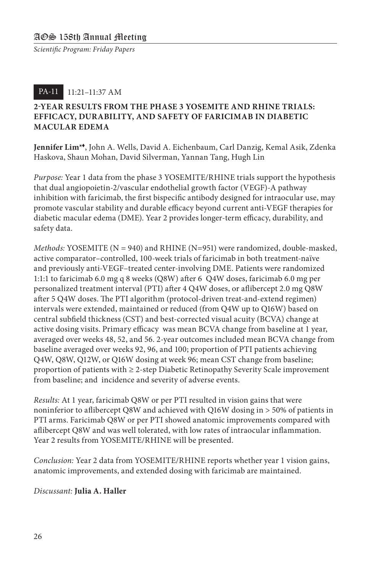#### 11:21–11:37 AM PA-11

#### **2-YEAR RESULTS FROM THE PHASE 3 YOSEMITE AND RHINE TRIALS: EFFICACY, DURABILITY, AND SAFETY OF FARICIMAB IN DIABETIC MACULAR EDEMA**

**Jennifer Lim\***t, John A. Wells, David A. Eichenbaum, Carl Danzig, Kemal Asik, Zdenka Haskova, Shaun Mohan, David Silverman, Yannan Tang, Hugh Lin

*Purpose:* Year 1 data from the phase 3 YOSEMITE/RHINE trials support the hypothesis that dual angiopoietin-2/vascular endothelial growth factor (VEGF)-A pathway inhibition with faricimab, the first bispecific antibody designed for intraocular use, may promote vascular stability and durable efficacy beyond current anti-VEGF therapies for diabetic macular edema (DME). Year 2 provides longer-term efficacy, durability, and safety data.

*Methods:* YOSEMITE (N = 940) and RHINE (N=951) were randomized, double-masked, active comparator–controlled, 100-week trials of faricimab in both treatment-naïve and previously anti-VEGF–treated center-involving DME. Patients were randomized 1:1:1 to faricimab 6.0 mg q 8 weeks (Q8W) after 6 Q4W doses, faricimab 6.0 mg per personalized treatment interval (PTI) after 4 Q4W doses, or aflibercept 2.0 mg Q8W after 5 Q4W doses. The PTI algorithm (protocol-driven treat-and-extend regimen) intervals were extended, maintained or reduced (from Q4W up to Q16W) based on central subfield thickness (CST) and best-corrected visual acuity (BCVA) change at active dosing visits. Primary efficacy was mean BCVA change from baseline at 1 year, averaged over weeks 48, 52, and 56. 2-year outcomes included mean BCVA change from baseline averaged over weeks 92, 96, and 100; proportion of PTI patients achieving Q4W, Q8W, Q12W, or Q16W dosing at week 96; mean CST change from baseline; proportion of patients with ≥ 2-step Diabetic Retinopathy Severity Scale improvement from baseline; and incidence and severity of adverse events.

*Results:* At 1 year, faricimab Q8W or per PTI resulted in vision gains that were noninferior to aflibercept Q8W and achieved with Q16W dosing in > 50% of patients in PTI arms. Faricimab Q8W or per PTI showed anatomic improvements compared with aflibercept Q8W and was well tolerated, with low rates of intraocular inflammation. Year 2 results from YOSEMITE/RHINE will be presented.

*Conclusion:* Year 2 data from YOSEMITE/RHINE reports whether year 1 vision gains, anatomic improvements, and extended dosing with faricimab are maintained.

#### *Discussant:* **Julia A. Haller**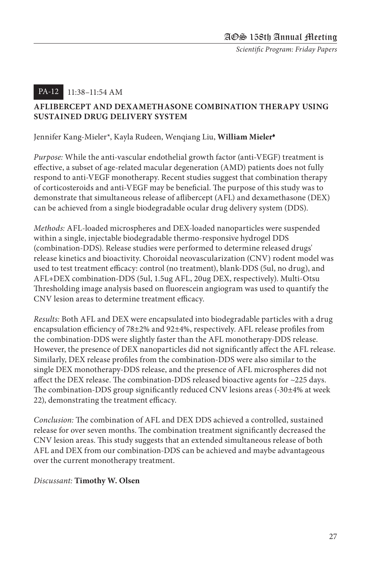#### 11:38–11:54 AM PA-12

#### **AFLIBERCEPT AND DEXAMETHASONE COMBINATION THERAPY USING SUSTAINED DRUG DELIVERY SYSTEM**

#### Jennifer Kang-Mieler\*, Kayla Rudeen, Wenqiang Liu, **William Mieler**<sup>t</sup>

*Purpose:* While the anti-vascular endothelial growth factor (anti-VEGF) treatment is effective, a subset of age-related macular degeneration (AMD) patients does not fully respond to anti-VEGF monotherapy. Recent studies suggest that combination therapy of corticosteroids and anti-VEGF may be beneficial. The purpose of this study was to demonstrate that simultaneous release of aflibercept (AFL) and dexamethasone (DEX) can be achieved from a single biodegradable ocular drug delivery system (DDS).

*Methods:* AFL-loaded microspheres and DEX-loaded nanoparticles were suspended within a single, injectable biodegradable thermo-responsive hydrogel DDS (combination-DDS). Release studies were performed to determine released drugs' release kinetics and bioactivity. Choroidal neovascularization (CNV) rodent model was used to test treatment efficacy: control (no treatment), blank-DDS (5ul, no drug), and AFL+DEX combination-DDS (5ul, 1.5ug AFL, 20ug DEX, respectively). Multi-Otsu Thresholding image analysis based on fluorescein angiogram was used to quantify the CNV lesion areas to determine treatment efficacy.

*Results:* Both AFL and DEX were encapsulated into biodegradable particles with a drug encapsulation efficiency of 78±2% and 92±4%, respectively. AFL release profiles from the combination-DDS were slightly faster than the AFL monotherapy-DDS release. However, the presence of DEX nanoparticles did not significantly affect the AFL release. Similarly, DEX release profiles from the combination-DDS were also similar to the single DEX monotherapy-DDS release, and the presence of AFL microspheres did not affect the DEX release. The combination-DDS released bioactive agents for ~225 days. The combination-DDS group significantly reduced CNV lesions areas (-30±4% at week 22), demonstrating the treatment efficacy.

*Conclusion:* The combination of AFL and DEX DDS achieved a controlled, sustained release for over seven months. The combination treatment significantly decreased the CNV lesion areas. This study suggests that an extended simultaneous release of both AFL and DEX from our combination-DDS can be achieved and maybe advantageous over the current monotherapy treatment.

#### *Discussant:* **Timothy W. Olsen**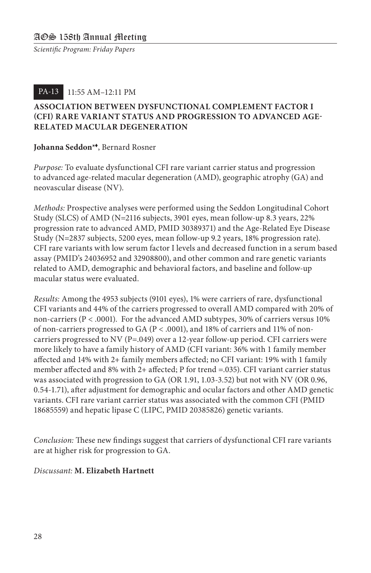#### 11:55 AM–12:11 PM PA-13

#### **ASSOCIATION BETWEEN DYSFUNCTIONAL COMPLEMENT FACTOR I (CFI) RARE VARIANT STATUS AND PROGRESSION TO ADVANCED AGE-RELATED MACULAR DEGENERATION**

#### **Johanna Seddon\***t, Bernard Rosner

*Purpose:* To evaluate dysfunctional CFI rare variant carrier status and progression to advanced age-related macular degeneration (AMD), geographic atrophy (GA) and neovascular disease (NV).

*Methods:* Prospective analyses were performed using the Seddon Longitudinal Cohort Study (SLCS) of AMD (N=2116 subjects, 3901 eyes, mean follow-up 8.3 years, 22% progression rate to advanced AMD, PMID 30389371) and the Age-Related Eye Disease Study (N=2837 subjects, 5200 eyes, mean follow-up 9.2 years, 18% progression rate). CFI rare variants with low serum factor I levels and decreased function in a serum based assay (PMID's 24036952 and 32908800), and other common and rare genetic variants related to AMD, demographic and behavioral factors, and baseline and follow-up macular status were evaluated.

*Results:* Among the 4953 subjects (9101 eyes), 1% were carriers of rare, dysfunctional CFI variants and 44% of the carriers progressed to overall AMD compared with 20% of non-carriers (P < .0001). For the advanced AMD subtypes, 30% of carriers versus 10% of non-carriers progressed to GA (P < .0001), and 18% of carriers and 11% of noncarriers progressed to NV ( $P = .049$ ) over a 12-year follow-up period. CFI carriers were more likely to have a family history of AMD (CFI variant: 36% with 1 family member affected and 14% with 2+ family members affected; no CFI variant: 19% with 1 family member affected and 8% with 2+ affected; P for trend =.035). CFI variant carrier status was associated with progression to GA (OR 1.91, 1.03-3.52) but not with NV (OR 0.96, 0.54-1.71), after adjustment for demographic and ocular factors and other AMD genetic variants. CFI rare variant carrier status was associated with the common CFI (PMID 18685559) and hepatic lipase C (LIPC, PMID 20385826) genetic variants.

*Conclusion:* These new findings suggest that carriers of dysfunctional CFI rare variants are at higher risk for progression to GA.

#### *Discussant:* **M. Elizabeth Hartnett**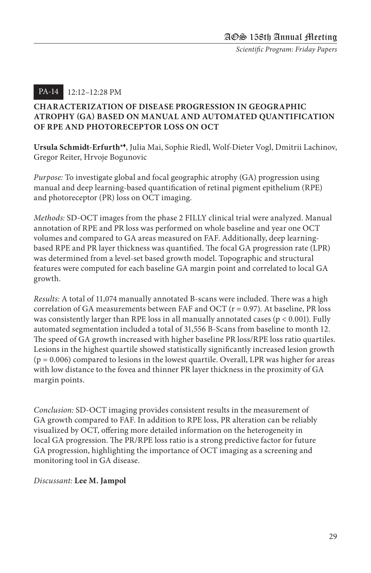#### 12:12–12:28 PM PA-14

#### **CHARACTERIZATION OF DISEASE PROGRESSION IN GEOGRAPHIC ATROPHY (GA) BASED ON MANUAL AND AUTOMATED QUANTIFICATION OF RPE AND PHOTORECEPTOR LOSS ON OCT**

**Ursula Schmidt-Erfurth\***t, Julia Mai, Sophie Riedl, Wolf-Dieter Vogl, Dmitrii Lachinov, Gregor Reiter, Hrvoje Bogunovic

*Purpose:* To investigate global and focal geographic atrophy (GA) progression using manual and deep learning-based quantification of retinal pigment epithelium (RPE) and photoreceptor (PR) loss on OCT imaging.

*Methods:* SD-OCT images from the phase 2 FILLY clinical trial were analyzed. Manual annotation of RPE and PR loss was performed on whole baseline and year one OCT volumes and compared to GA areas measured on FAF. Additionally, deep learningbased RPE and PR layer thickness was quantified. The focal GA progression rate (LPR) was determined from a level-set based growth model. Topographic and structural features were computed for each baseline GA margin point and correlated to local GA growth.

*Results:* A total of 11,074 manually annotated B-scans were included. There was a high correlation of GA measurements between FAF and OCT  $(r = 0.97)$ . At baseline, PR loss was consistently larger than RPE loss in all manually annotated cases ( $p < 0.001$ ). Fully automated segmentation included a total of 31,556 B-Scans from baseline to month 12. The speed of GA growth increased with higher baseline PR loss/RPE loss ratio quartiles. Lesions in the highest quartile showed statistically significantly increased lesion growth  $(p = 0.006)$  compared to lesions in the lowest quartile. Overall, LPR was higher for areas with low distance to the fovea and thinner PR layer thickness in the proximity of GA margin points.

*Conclusion:* SD-OCT imaging provides consistent results in the measurement of GA growth compared to FAF. In addition to RPE loss, PR alteration can be reliably visualized by OCT, offering more detailed information on the heterogeneity in local GA progression. The PR/RPE loss ratio is a strong predictive factor for future GA progression, highlighting the importance of OCT imaging as a screening and monitoring tool in GA disease.

#### *Discussant:* **Lee M. Jampol**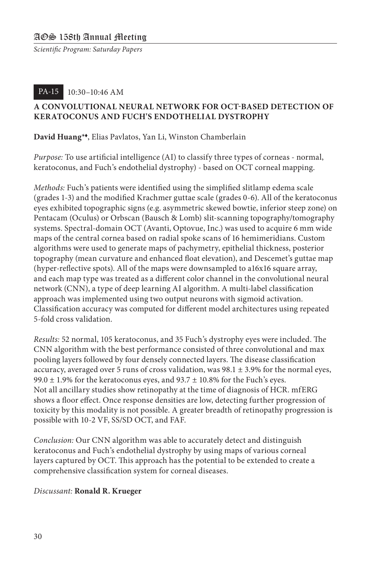#### 10:30–10:46 AM PA-15

#### **A CONVOLUTIONAL NEURAL NETWORK FOR OCT-BASED DETECTION OF KERATOCONUS AND FUCH'S ENDOTHELIAL DYSTROPHY**

#### **David Huang\***t, Elias Pavlatos, Yan Li, Winston Chamberlain

*Purpose:* To use artificial intelligence (AI) to classify three types of corneas - normal, keratoconus, and Fuch's endothelial dystrophy) - based on OCT corneal mapping.

*Methods:* Fuch's patients were identified using the simplified slitlamp edema scale (grades 1-3) and the modified Krachmer guttae scale (grades 0-6). All of the keratoconus eyes exhibited topographic signs (e.g. asymmetric skewed bowtie, inferior steep zone) on Pentacam (Oculus) or Orbscan (Bausch & Lomb) slit-scanning topography/tomography systems. Spectral-domain OCT (Avanti, Optovue, Inc.) was used to acquire 6 mm wide maps of the central cornea based on radial spoke scans of 16 hemimeridians. Custom algorithms were used to generate maps of pachymetry, epithelial thickness, posterior topography (mean curvature and enhanced float elevation), and Descemet's guttae map (hyper-reflective spots). All of the maps were downsampled to a16x16 square array, and each map type was treated as a different color channel in the convolutional neural network (CNN), a type of deep learning AI algorithm. A multi-label classification approach was implemented using two output neurons with sigmoid activation. Classification accuracy was computed for different model architectures using repeated 5-fold cross validation.

*Results:* 52 normal, 105 keratoconus, and 35 Fuch's dystrophy eyes were included. The CNN algorithm with the best performance consisted of three convolutional and max pooling layers followed by four densely connected layers. The disease classification accuracy, averaged over 5 runs of cross validation, was  $98.1 \pm 3.9\%$  for the normal eyes, 99.0  $\pm$  1.9% for the keratoconus eyes, and 93.7  $\pm$  10.8% for the Fuch's eyes. Not all ancillary studies show retinopathy at the time of diagnosis of HCR. mfERG shows a floor effect. Once response densities are low, detecting further progression of toxicity by this modality is not possible. A greater breadth of retinopathy progression is possible with 10-2 VF, SS/SD OCT, and FAF.

*Conclusion:* Our CNN algorithm was able to accurately detect and distinguish keratoconus and Fuch's endothelial dystrophy by using maps of various corneal layers captured by OCT. This approach has the potential to be extended to create a comprehensive classification system for corneal diseases.

#### *Discussant:* **Ronald R. Krueger**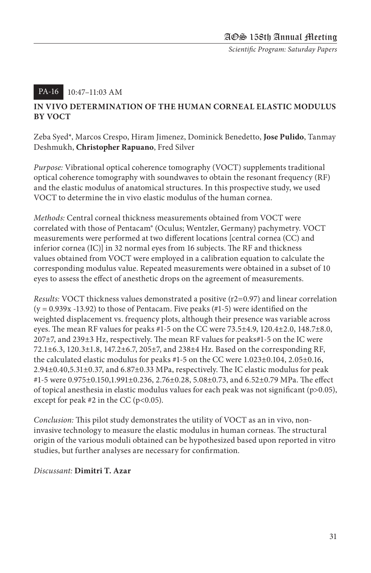#### 10:47–11:03 AM PA-16

#### **IN VIVO DETERMINATION OF THE HUMAN CORNEAL ELASTIC MODULUS BY VOCT**

Zeba Syed\*, Marcos Crespo, Hiram Jimenez, Dominick Benedetto, **Jose Pulido**, Tanmay Deshmukh, **Christopher Rapuano**, Fred Silver

*Purpose:* Vibrational optical coherence tomography (VOCT) supplements traditional optical coherence tomography with soundwaves to obtain the resonant frequency (RF) and the elastic modulus of anatomical structures. In this prospective study, we used VOCT to determine the in vivo elastic modulus of the human cornea.

*Methods:* Central corneal thickness measurements obtained from VOCT were correlated with those of Pentacam® (Oculus; Wentzler, Germany) pachymetry. VOCT measurements were performed at two different locations [central cornea (CC) and inferior cornea (IC)] in 32 normal eyes from 16 subjects. The RF and thickness values obtained from VOCT were employed in a calibration equation to calculate the corresponding modulus value. Repeated measurements were obtained in a subset of 10 eyes to assess the effect of anesthetic drops on the agreement of measurements.

*Results: VOCT thickness values demonstrated a positive (r2=0.97) and linear correlation*  $(y = 0.939x - 13.92)$  to those of Pentacam. Five peaks  $(\#1-5)$  were identified on the weighted displacement vs. frequency plots, although their presence was variable across eyes. The mean RF values for peaks #1-5 on the CC were 73.5±4.9, 120.4±2.0, 148.7±8.0, 207±7, and 239±3 Hz, respectively. The mean RF values for peaks#1-5 on the IC were 72.1±6.3, 120.3±1.8, 147.2±6.7, 205±7, and 238±4 Hz. Based on the corresponding RF, the calculated elastic modulus for peaks #1-5 on the CC were 1.023±0.104, 2.05±0.16,  $2.94\pm0.40,5.31\pm0.37$ , and  $6.87\pm0.33$  MPa, respectively. The IC elastic modulus for peak #1-5 were 0.975±0.150,1.991±0.236, 2.76±0.28, 5.08±0.73, and 6.52±0.79 MPa. The effect of topical anesthesia in elastic modulus values for each peak was not significant (p>0.05), except for peak  $#2$  in the CC ( $p<0.05$ ).

*Conclusion:* This pilot study demonstrates the utility of VOCT as an in vivo, noninvasive technology to measure the elastic modulus in human corneas. The structural origin of the various moduli obtained can be hypothesized based upon reported in vitro studies, but further analyses are necessary for confirmation.

#### *Discussant:* **Dimitri T. Azar**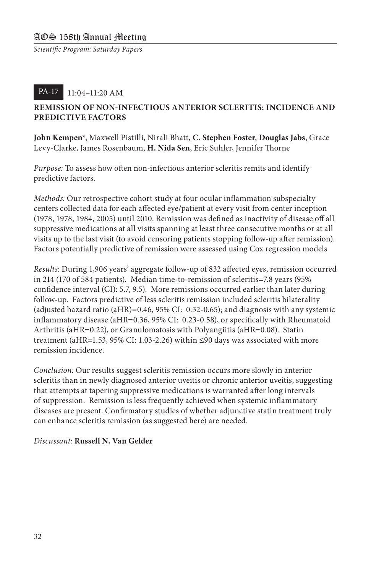#### 11:04–11:20 AM PA-17

#### **REMISSION OF NON-INFECTIOUS ANTERIOR SCLERITIS: INCIDENCE AND PREDICTIVE FACTORS**

**John Kempen\***, Maxwell Pistilli, Nirali Bhatt, **C. Stephen Foster**, **Douglas Jabs**, Grace Levy-Clarke, James Rosenbaum, **H. Nida Sen**, Eric Suhler, Jennifer Thorne

*Purpose:* To assess how often non-infectious anterior scleritis remits and identify predictive factors.

*Methods:* Our retrospective cohort study at four ocular inflammation subspecialty centers collected data for each affected eye/patient at every visit from center inception (1978, 1978, 1984, 2005) until 2010. Remission was defined as inactivity of disease off all suppressive medications at all visits spanning at least three consecutive months or at all visits up to the last visit (to avoid censoring patients stopping follow-up after remission). Factors potentially predictive of remission were assessed using Cox regression models

*Results:* During 1,906 years' aggregate follow-up of 832 affected eyes, remission occurred in 214 (170 of 584 patients). Median time-to-remission of scleritis=7.8 years (95% confidence interval (CI): 5.7, 9.5). More remissions occurred earlier than later during follow-up. Factors predictive of less scleritis remission included scleritis bilaterality (adjusted hazard ratio (aHR)=0.46, 95% CI: 0.32-0.65); and diagnosis with any systemic inflammatory disease (aHR=0.36, 95% CI: 0.23-0.58), or specifically with Rheumatoid Arthritis (aHR=0.22), or Granulomatosis with Polyangiitis (aHR=0.08). Statin treatment (aHR=1.53, 95% CI: 1.03-2.26) within ≤90 days was associated with more remission incidence.

*Conclusion:* Our results suggest scleritis remission occurs more slowly in anterior scleritis than in newly diagnosed anterior uveitis or chronic anterior uveitis, suggesting that attempts at tapering suppressive medications is warranted after long intervals of suppression. Remission is less frequently achieved when systemic inflammatory diseases are present. Confirmatory studies of whether adjunctive statin treatment truly can enhance scleritis remission (as suggested here) are needed.

#### *Discussant:* **Russell N. Van Gelder**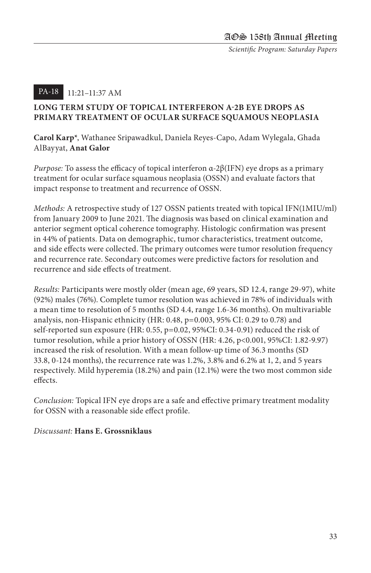#### 11:21–11:37 AM PA-18

#### **LONG TERM STUDY OF TOPICAL INTERFERON Α-2B EYE DROPS AS PRIMARY TREATMENT OF OCULAR SURFACE SQUAMOUS NEOPLASIA**

**Carol Karp\***, Wathanee Sripawadkul, Daniela Reyes-Capo, Adam Wylegala, Ghada AlBayyat, **Anat Galor**

*Purpose:* To assess the efficacy of topical interferon α-2β(IFN) eye drops as a primary treatment for ocular surface squamous neoplasia (OSSN) and evaluate factors that impact response to treatment and recurrence of OSSN.

*Methods:* A retrospective study of 127 OSSN patients treated with topical IFN(1MIU/ml) from January 2009 to June 2021. The diagnosis was based on clinical examination and anterior segment optical coherence tomography. Histologic confirmation was present in 44% of patients. Data on demographic, tumor characteristics, treatment outcome, and side effects were collected. The primary outcomes were tumor resolution frequency and recurrence rate. Secondary outcomes were predictive factors for resolution and recurrence and side effects of treatment.

*Results:* Participants were mostly older (mean age, 69 years, SD 12.4, range 29-97), white (92%) males (76%). Complete tumor resolution was achieved in 78% of individuals with a mean time to resolution of 5 months (SD 4.4, range 1.6-36 months). On multivariable analysis, non-Hispanic ethnicity (HR: 0.48, p=0.003, 95% CI: 0.29 to 0.78) and self-reported sun exposure (HR: 0.55, p=0.02, 95%CI: 0.34-0.91) reduced the risk of tumor resolution, while a prior history of OSSN (HR: 4.26, p<0.001, 95%CI: 1.82-9.97) increased the risk of resolution. With a mean follow-up time of 36.3 months (SD 33.8, 0-124 months), the recurrence rate was 1.2%, 3.8% and 6.2% at 1, 2, and 5 years respectively. Mild hyperemia (18.2%) and pain (12.1%) were the two most common side effects.

*Conclusion:* Topical IFN eye drops are a safe and effective primary treatment modality for OSSN with a reasonable side effect profile.

#### *Discussant:* **Hans E. Grossniklaus**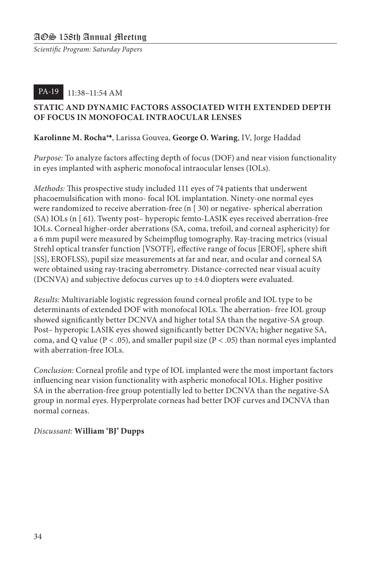#### 11:38–11:54 AM PA-19

#### **STATIC AND DYNAMIC FACTORS ASSOCIATED WITH EXTENDED DEPTH OF FOCUS IN MONOFOCAL INTRAOCULAR LENSES**

#### **Karolinne M. Rocha\***t, Larissa Gouvea, **George O. Waring**, IV, Jorge Haddad

*Purpose:* To analyze factors affecting depth of focus (DOF) and near vision functionality in eyes implanted with aspheric monofocal intraocular lenses (IOLs).

*Methods:* This prospective study included 111 eyes of 74 patients that underwent phacoemulsification with mono- focal IOL implantation. Ninety-one normal eyes were randomized to receive aberration-free (n [ 30) or negative- spherical aberration (SA) IOLs (n [ 61). Twenty post– hyperopic femto-LASIK eyes received aberration-free IOLs. Corneal higher-order aberrations (SA, coma, trefoil, and corneal asphericity) for a 6 mm pupil were measured by Scheimpflug tomography. Ray-tracing metrics (visual Strehl optical transfer function [VSOTF], effective range of focus [EROF], sphere shift [SS], EROFLSS), pupil size measurements at far and near, and ocular and corneal SA were obtained using ray-tracing aberrometry. Distance-corrected near visual acuity (DCNVA) and subjective defocus curves up to ±4.0 diopters were evaluated.

*Results:* Multivariable logistic regression found corneal profile and IOL type to be determinants of extended DOF with monofocal IOLs. The aberration- free IOL group showed significantly better DCNVA and higher total SA than the negative-SA group. Post– hyperopic LASIK eyes showed significantly better DCNVA; higher negative SA, coma, and Q value ( $P < .05$ ), and smaller pupil size ( $P < .05$ ) than normal eyes implanted with aberration-free IOLs.

*Conclusion:* Corneal profile and type of IOL implanted were the most important factors influencing near vision functionality with aspheric monofocal IOLs. Higher positive SA in the aberration-free group potentially led to better DCNVA than the negative-SA group in normal eyes. Hyperprolate corneas had better DOF curves and DCNVA than normal corneas.

#### *Discussant:* **William 'BJ' Dupps**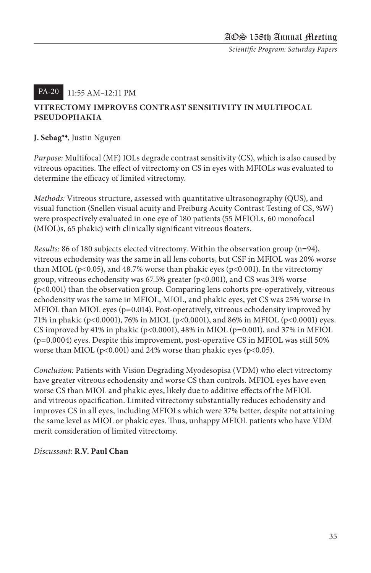#### 11:55 AM–12:11 PM PA-20

#### **VITRECTOMY IMPROVES CONTRAST SENSITIVITY IN MULTIFOCAL PSEUDOPHAKIA**

#### **J. Sebag\***t, Justin Nguyen

*Purpose:* Multifocal (MF) IOLs degrade contrast sensitivity (CS), which is also caused by vitreous opacities. The effect of vitrectomy on CS in eyes with MFIOLs was evaluated to determine the efficacy of limited vitrectomy.

*Methods:* Vitreous structure, assessed with quantitative ultrasonography (QUS), and visual function (Snellen visual acuity and Freiburg Acuity Contrast Testing of CS, %W) were prospectively evaluated in one eye of 180 patients (55 MFIOLs, 60 monofocal (MIOL)s, 65 phakic) with clinically significant vitreous floaters.

*Results:* 86 of 180 subjects elected vitrectomy. Within the observation group (n=94), vitreous echodensity was the same in all lens cohorts, but CSF in MFIOL was 20% worse than MIOL ( $p<0.05$ ), and 48.7% worse than phakic eyes ( $p<0.001$ ). In the vitrectomy group, vitreous echodensity was 67.5% greater (p<0.001), and CS was 31% worse (p<0.001) than the observation group. Comparing lens cohorts pre-operatively, vitreous echodensity was the same in MFIOL, MIOL, and phakic eyes, yet CS was 25% worse in MFIOL than MIOL eyes (p=0.014). Post-operatively, vitreous echodensity improved by 71% in phakic (p<0.0001), 76% in MIOL (p<0.0001), and 86% in MFIOL (p<0.0001) eyes. CS improved by 41% in phakic (p<0.0001), 48% in MIOL (p=0.001), and 37% in MFIOL (p=0.0004) eyes. Despite this improvement, post-operative CS in MFIOL was still 50% worse than MIOL ( $p<0.001$ ) and 24% worse than phakic eyes ( $p<0.05$ ).

*Conclusion:* Patients with Vision Degrading Myodesopisa (VDM) who elect vitrectomy have greater vitreous echodensity and worse CS than controls. MFIOL eyes have even worse CS than MIOL and phakic eyes, likely due to additive effects of the MFIOL and vitreous opacification. Limited vitrectomy substantially reduces echodensity and improves CS in all eyes, including MFIOLs which were 37% better, despite not attaining the same level as MIOL or phakic eyes. Thus, unhappy MFIOL patients who have VDM merit consideration of limited vitrectomy.

#### *Discussant:* **R.V. Paul Chan**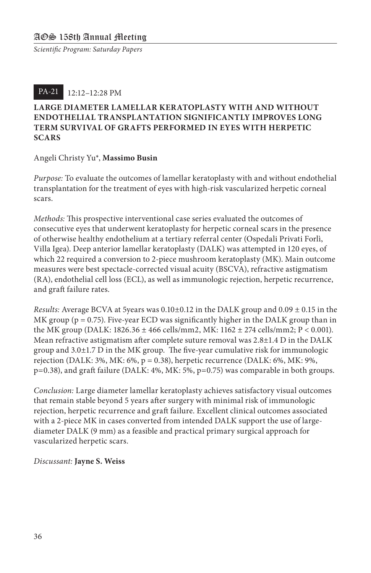#### 12:12–12:28 PM PA-21

#### **LARGE DIAMETER LAMELLAR KERATOPLASTY WITH AND WITHOUT ENDOTHELIAL TRANSPLANTATION SIGNIFICANTLY IMPROVES LONG TERM SURVIVAL OF GRAFTS PERFORMED IN EYES WITH HERPETIC SCARS**

#### Angeli Christy Yu\*, **Massimo Busin**

*Purpose:* To evaluate the outcomes of lamellar keratoplasty with and without endothelial transplantation for the treatment of eyes with high-risk vascularized herpetic corneal scars.

*Methods:* This prospective interventional case series evaluated the outcomes of consecutive eyes that underwent keratoplasty for herpetic corneal scars in the presence of otherwise healthy endothelium at a tertiary referral center (Ospedali Privati Forlì, Villa Igea). Deep anterior lamellar keratoplasty (DALK) was attempted in 120 eyes, of which 22 required a conversion to 2-piece mushroom keratoplasty (MK). Main outcome measures were best spectacle-corrected visual acuity (BSCVA), refractive astigmatism (RA), endothelial cell loss (ECL), as well as immunologic rejection, herpetic recurrence, and graft failure rates.

*Results:* Average BCVA at 5years was 0.10±0.12 in the DALK group and 0.09 ± 0.15 in the MK group ( $p = 0.75$ ). Five-year ECD was significantly higher in the DALK group than in the MK group (DALK: 1826.36 ± 466 cells/mm2, MK: 1162 ± 274 cells/mm2; P < 0.001). Mean refractive astigmatism after complete suture removal was 2.8±1.4 D in the DALK group and  $3.0\pm1.7$  D in the MK group. The five-year cumulative risk for immunologic rejection (DALK:  $3\%$ , MK:  $6\%$ ,  $p = 0.38$ ), herpetic recurrence (DALK:  $6\%$ , MK:  $9\%$ , p=0.38), and graft failure (DALK: 4%, MK: 5%, p=0.75) was comparable in both groups.

*Conclusion:* Large diameter lamellar keratoplasty achieves satisfactory visual outcomes that remain stable beyond 5 years after surgery with minimal risk of immunologic rejection, herpetic recurrence and graft failure. Excellent clinical outcomes associated with a 2-piece MK in cases converted from intended DALK support the use of largediameter DALK (9 mm) as a feasible and practical primary surgical approach for vascularized herpetic scars.

#### *Discussant:* **Jayne S. Weiss**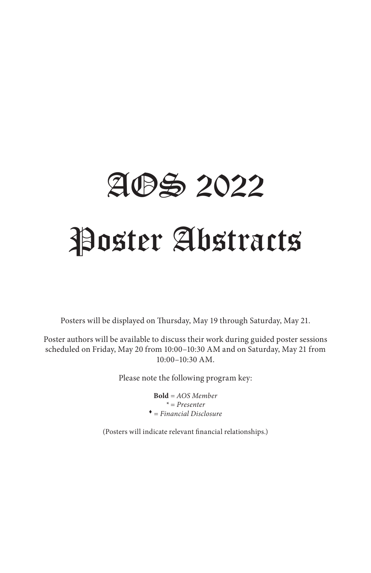# AOS 2022 Poster Abstracts

Posters will be displayed on Thursday, May 19 through Saturday, May 21.

Poster authors will be available to discuss their work during guided poster sessions scheduled on Friday, May 20 from 10:00–10:30 AM and on Saturday, May 21 from 10:00–10:30 AM.

Please note the following program key:

**Bold** *= AOS Member \* = Presenter* <sup>t</sup> *= Financial Disclosure*

(Posters will indicate relevant financial relationships.)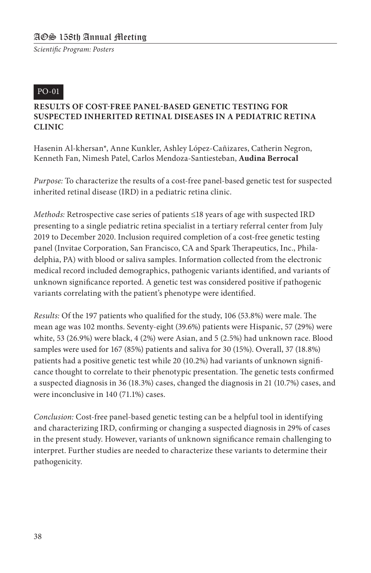#### PO-01

#### **RESULTS OF COST-FREE PANEL-BASED GENETIC TESTING FOR SUSPECTED INHERITED RETINAL DISEASES IN A PEDIATRIC RETINA CLINIC**

Hasenin Al-khersan\*, Anne Kunkler, Ashley López-Cañizares, Catherin Negron, Kenneth Fan, Nimesh Patel, Carlos Mendoza-Santiesteban, **Audina Berrocal**

*Purpose:* To characterize the results of a cost-free panel-based genetic test for suspected inherited retinal disease (IRD) in a pediatric retina clinic.

*Methods:* Retrospective case series of patients ≤18 years of age with suspected IRD presenting to a single pediatric retina specialist in a tertiary referral center from July 2019 to December 2020. Inclusion required completion of a cost-free genetic testing panel (Invitae Corporation, San Francisco, CA and Spark Therapeutics, Inc., Philadelphia, PA) with blood or saliva samples. Information collected from the electronic medical record included demographics, pathogenic variants identified, and variants of unknown significance reported. A genetic test was considered positive if pathogenic variants correlating with the patient's phenotype were identified.

*Results:* Of the 197 patients who qualified for the study, 106 (53.8%) were male. The mean age was 102 months. Seventy-eight (39.6%) patients were Hispanic, 57 (29%) were white, 53 (26.9%) were black, 4 (2%) were Asian, and 5 (2.5%) had unknown race. Blood samples were used for 167 (85%) patients and saliva for 30 (15%). Overall, 37 (18.8%) patients had a positive genetic test while 20 (10.2%) had variants of unknown significance thought to correlate to their phenotypic presentation. The genetic tests confirmed a suspected diagnosis in 36 (18.3%) cases, changed the diagnosis in 21 (10.7%) cases, and were inconclusive in 140 (71.1%) cases.

*Conclusion:* Cost-free panel-based genetic testing can be a helpful tool in identifying and characterizing IRD, confirming or changing a suspected diagnosis in 29% of cases in the present study. However, variants of unknown significance remain challenging to interpret. Further studies are needed to characterize these variants to determine their pathogenicity.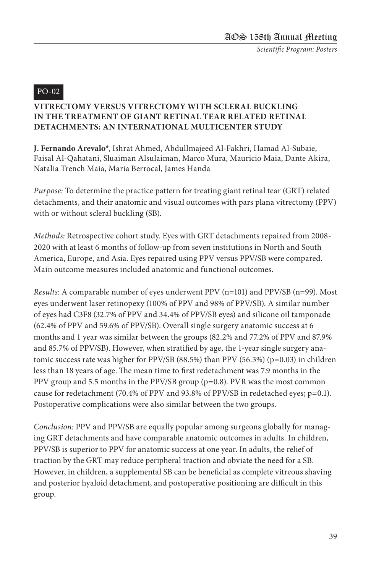#### PO-02

#### **VITRECTOMY VERSUS VITRECTOMY WITH SCLERAL BUCKLING IN THE TREATMENT OF GIANT RETINAL TEAR RELATED RETINAL DETACHMENTS: AN INTERNATIONAL MULTICENTER STUDY**

**J. Fernando Arevalo\***, Ishrat Ahmed, Abdullmajeed Al-Fakhri, Hamad Al-Subaie, Faisal Al-Qahatani, Sluaiman Alsulaiman, Marco Mura, Mauricio Maia, Dante Akira, Natalia Trench Maia, Maria Berrocal, James Handa

*Purpose:* To determine the practice pattern for treating giant retinal tear (GRT) related detachments, and their anatomic and visual outcomes with pars plana vitrectomy (PPV) with or without scleral buckling (SB).

*Methods:* Retrospective cohort study. Eyes with GRT detachments repaired from 2008- 2020 with at least 6 months of follow-up from seven institutions in North and South America, Europe, and Asia. Eyes repaired using PPV versus PPV/SB were compared. Main outcome measures included anatomic and functional outcomes.

*Results:* A comparable number of eyes underwent PPV (n=101) and PPV/SB (n=99). Most eyes underwent laser retinopexy (100% of PPV and 98% of PPV/SB). A similar number of eyes had C3F8 (32.7% of PPV and 34.4% of PPV/SB eyes) and silicone oil tamponade (62.4% of PPV and 59.6% of PPV/SB). Overall single surgery anatomic success at 6 months and 1 year was similar between the groups (82.2% and 77.2% of PPV and 87.9% and 85.7% of PPV/SB). However, when stratified by age, the 1-year single surgery anatomic success rate was higher for PPV/SB (88.5%) than PPV (56.3%) ( $p=0.03$ ) in children less than 18 years of age. The mean time to first redetachment was 7.9 months in the PPV group and 5.5 months in the PPV/SB group (p=0.8). PVR was the most common cause for redetachment (70.4% of PPV and 93.8% of PPV/SB in redetached eyes; p=0.1). Postoperative complications were also similar between the two groups.

*Conclusion:* PPV and PPV/SB are equally popular among surgeons globally for managing GRT detachments and have comparable anatomic outcomes in adults. In children, PPV/SB is superior to PPV for anatomic success at one year. In adults, the relief of traction by the GRT may reduce peripheral traction and obviate the need for a SB. However, in children, a supplemental SB can be beneficial as complete vitreous shaving and posterior hyaloid detachment, and postoperative positioning are difficult in this group.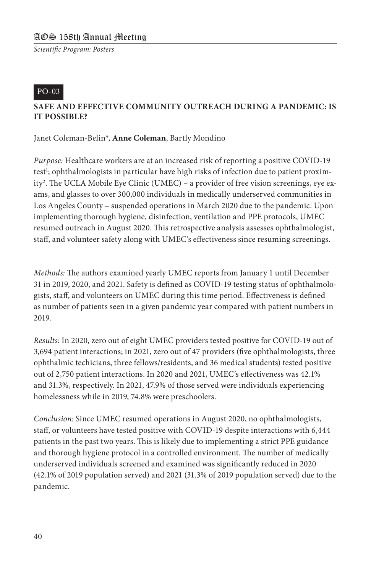#### PO-03

#### **SAFE AND EFFECTIVE COMMUNITY OUTREACH DURING A PANDEMIC: IS IT POSSIBLE?**

Janet Coleman-Belin\*, **Anne Coleman**, Bartly Mondino

*Purpose:* Healthcare workers are at an increased risk of reporting a positive COVID-19 test<sup>1</sup>; ophthalmologists in particular have high risks of infection due to patient proximity<sup>2</sup>. The UCLA Mobile Eye Clinic (UMEC) – a provider of free vision screenings, eye exams, and glasses to over 300,000 individuals in medically underserved communities in Los Angeles County – suspended operations in March 2020 due to the pandemic. Upon implementing thorough hygiene, disinfection, ventilation and PPE protocols, UMEC resumed outreach in August 2020. This retrospective analysis assesses ophthalmologist, staff, and volunteer safety along with UMEC's effectiveness since resuming screenings.

*Methods:* The authors examined yearly UMEC reports from January 1 until December 31 in 2019, 2020, and 2021. Safety is defined as COVID-19 testing status of ophthalmologists, staff, and volunteers on UMEC during this time period. Effectiveness is defined as number of patients seen in a given pandemic year compared with patient numbers in 2019.

*Results:* In 2020, zero out of eight UMEC providers tested positive for COVID-19 out of 3,694 patient interactions; in 2021, zero out of 47 providers (five ophthalmologists, three ophthalmic techicians, three fellows/residents, and 36 medical students) tested positive out of 2,750 patient interactions. In 2020 and 2021, UMEC's effectiveness was 42.1% and 31.3%, respectively. In 2021, 47.9% of those served were individuals experiencing homelessness while in 2019, 74.8% were preschoolers.

*Conclusion:* Since UMEC resumed operations in August 2020, no ophthalmologists, staff, or volunteers have tested positive with COVID-19 despite interactions with 6,444 patients in the past two years. This is likely due to implementing a strict PPE guidance and thorough hygiene protocol in a controlled environment. The number of medically underserved individuals screened and examined was significantly reduced in 2020 (42.1% of 2019 population served) and 2021 (31.3% of 2019 population served) due to the pandemic.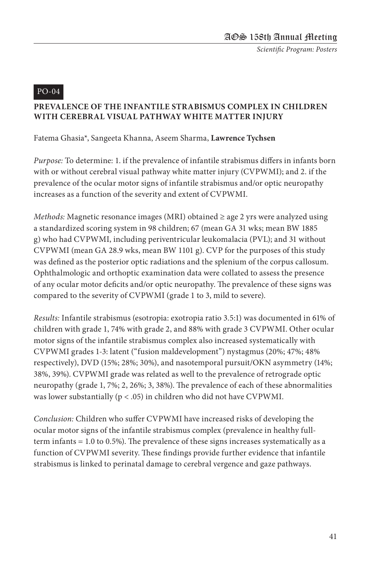#### PO-04

#### **PREVALENCE OF THE INFANTILE STRABISMUS COMPLEX IN CHILDREN WITH CEREBRAL VISUAL PATHWAY WHITE MATTER INJURY**

#### Fatema Ghasia\*, Sangeeta Khanna, Aseem Sharma, **Lawrence Tychsen**

*Purpose:* To determine: 1. if the prevalence of infantile strabismus differs in infants born with or without cerebral visual pathway white matter injury (CVPWMI); and 2. if the prevalence of the ocular motor signs of infantile strabismus and/or optic neuropathy increases as a function of the severity and extent of CVPWMI.

*Methods:* Magnetic resonance images (MRI) obtained ≥ age 2 yrs were analyzed using a standardized scoring system in 98 children; 67 (mean GA 31 wks; mean BW 1885 g) who had CVPWMI, including periventricular leukomalacia (PVL); and 31 without CVPWMI (mean GA 28.9 wks, mean BW 1101 g). CVP for the purposes of this study was defined as the posterior optic radiations and the splenium of the corpus callosum. Ophthalmologic and orthoptic examination data were collated to assess the presence of any ocular motor deficits and/or optic neuropathy. The prevalence of these signs was compared to the severity of CVPWMI (grade 1 to 3, mild to severe).

*Results:* Infantile strabismus (esotropia: exotropia ratio 3.5:1) was documented in 61% of children with grade 1, 74% with grade 2, and 88% with grade 3 CVPWMI. Other ocular motor signs of the infantile strabismus complex also increased systematically with CVPWMI grades 1-3: latent ("fusion maldevelopment") nystagmus (20%; 47%; 48% respectively), DVD (15%; 28%; 30%), and nasotemporal pursuit/OKN asymmetry (14%; 38%, 39%). CVPWMI grade was related as well to the prevalence of retrograde optic neuropathy (grade 1, 7%; 2, 26%; 3, 38%). The prevalence of each of these abnormalities was lower substantially ( $p < .05$ ) in children who did not have CVPWMI.

*Conclusion:* Children who suffer CVPWMI have increased risks of developing the ocular motor signs of the infantile strabismus complex (prevalence in healthy fullterm infants = 1.0 to 0.5%). The prevalence of these signs increases systematically as a function of CVPWMI severity. These findings provide further evidence that infantile strabismus is linked to perinatal damage to cerebral vergence and gaze pathways.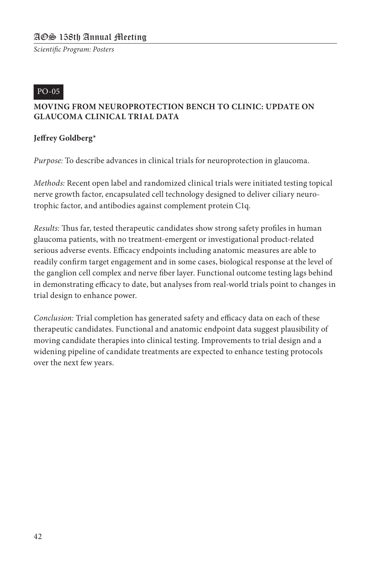#### PO-05

#### **MOVING FROM NEUROPROTECTION BENCH TO CLINIC: UPDATE ON GLAUCOMA CLINICAL TRIAL DATA**

#### **Jeffrey Goldberg\***

*Purpose:* To describe advances in clinical trials for neuroprotection in glaucoma.

*Methods:* Recent open label and randomized clinical trials were initiated testing topical nerve growth factor, encapsulated cell technology designed to deliver ciliary neurotrophic factor, and antibodies against complement protein C1q.

*Results:* Thus far, tested therapeutic candidates show strong safety profiles in human glaucoma patients, with no treatment-emergent or investigational product-related serious adverse events. Efficacy endpoints including anatomic measures are able to readily confirm target engagement and in some cases, biological response at the level of the ganglion cell complex and nerve fiber layer. Functional outcome testing lags behind in demonstrating efficacy to date, but analyses from real-world trials point to changes in trial design to enhance power.

*Conclusion:* Trial completion has generated safety and efficacy data on each of these therapeutic candidates. Functional and anatomic endpoint data suggest plausibility of moving candidate therapies into clinical testing. Improvements to trial design and a widening pipeline of candidate treatments are expected to enhance testing protocols over the next few years.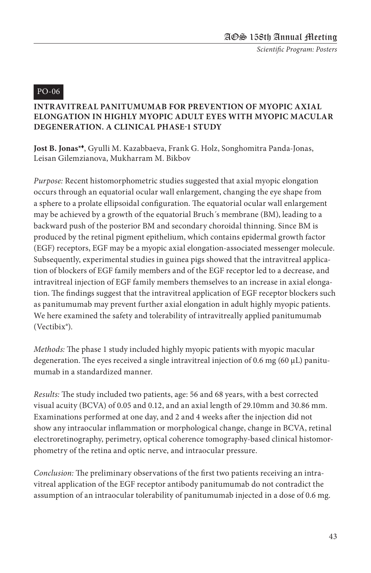#### PO-06

#### **INTRAVITREAL PANITUMUMAB FOR PREVENTION OF MYOPIC AXIAL ELONGATION IN HIGHLY MYOPIC ADULT EYES WITH MYOPIC MACULAR DEGENERATION. A CLINICAL PHASE-1 STUDY**

**Jost B. Jonas\***t, Gyulli M. Kazabbaeva, Frank G. Holz, Songhomitra Panda-Jonas, Leisan Gilemzianova, Mukharram M. Bikbov

*Purpose:* Recent histomorphometric studies suggested that axial myopic elongation occurs through an equatorial ocular wall enlargement, changing the eye shape from a sphere to a prolate ellipsoidal configuration. The equatorial ocular wall enlargement may be achieved by a growth of the equatorial Bruch´s membrane (BM), leading to a backward push of the posterior BM and secondary choroidal thinning. Since BM is produced by the retinal pigment epithelium, which contains epidermal growth factor (EGF) receptors, EGF may be a myopic axial elongation-associated messenger molecule. Subsequently, experimental studies in guinea pigs showed that the intravitreal application of blockers of EGF family members and of the EGF receptor led to a decrease, and intravitreal injection of EGF family members themselves to an increase in axial elongation. The findings suggest that the intravitreal application of EGF receptor blockers such as panitumumab may prevent further axial elongation in adult highly myopic patients. We here examined the safety and tolerability of intravitreally applied panitumumab (Vectibix®).

*Methods:* The phase 1 study included highly myopic patients with myopic macular degeneration. The eyes received a single intravitreal injection of 0.6 mg (60  $\mu$ L) panitumumab in a standardized manner.

*Results:* The study included two patients, age: 56 and 68 years, with a best corrected visual acuity (BCVA) of 0.05 and 0.12, and an axial length of 29.10mm and 30.86 mm. Examinations performed at one day, and 2 and 4 weeks after the injection did not show any intraocular inflammation or morphological change, change in BCVA, retinal electroretinography, perimetry, optical coherence tomography-based clinical histomorphometry of the retina and optic nerve, and intraocular pressure.

*Conclusion:* The preliminary observations of the first two patients receiving an intravitreal application of the EGF receptor antibody panitumumab do not contradict the assumption of an intraocular tolerability of panitumumab injected in a dose of 0.6 mg.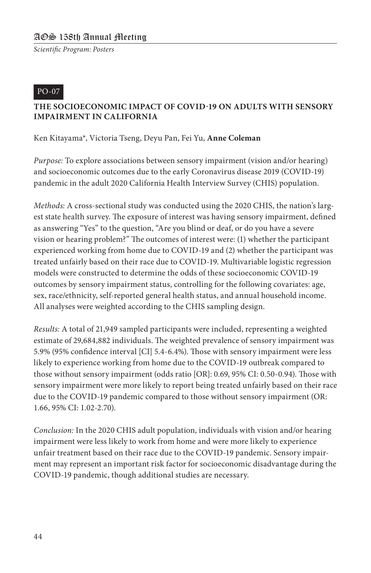#### PO-07

#### **THE SOCIOECONOMIC IMPACT OF COVID-19 ON ADULTS WITH SENSORY IMPAIRMENT IN CALIFORNIA**

Ken Kitayama\*, Victoria Tseng, Deyu Pan, Fei Yu, **Anne Coleman**

*Purpose:* To explore associations between sensory impairment (vision and/or hearing) and socioeconomic outcomes due to the early Coronavirus disease 2019 (COVID-19) pandemic in the adult 2020 California Health Interview Survey (CHIS) population.

*Methods:* A cross-sectional study was conducted using the 2020 CHIS, the nation's largest state health survey. The exposure of interest was having sensory impairment, defined as answering "Yes" to the question, "Are you blind or deaf, or do you have a severe vision or hearing problem?" The outcomes of interest were: (1) whether the participant experienced working from home due to COVID-19 and (2) whether the participant was treated unfairly based on their race due to COVID-19. Multivariable logistic regression models were constructed to determine the odds of these socioeconomic COVID-19 outcomes by sensory impairment status, controlling for the following covariates: age, sex, race/ethnicity, self-reported general health status, and annual household income. All analyses were weighted according to the CHIS sampling design.

*Results:* A total of 21,949 sampled participants were included, representing a weighted estimate of 29,684,882 individuals. The weighted prevalence of sensory impairment was 5.9% (95% confidence interval [CI] 5.4-6.4%). Those with sensory impairment were less likely to experience working from home due to the COVID-19 outbreak compared to those without sensory impairment (odds ratio [OR]: 0.69, 95% CI: 0.50-0.94). Those with sensory impairment were more likely to report being treated unfairly based on their race due to the COVID-19 pandemic compared to those without sensory impairment (OR: 1.66, 95% CI: 1.02-2.70).

*Conclusion:* In the 2020 CHIS adult population, individuals with vision and/or hearing impairment were less likely to work from home and were more likely to experience unfair treatment based on their race due to the COVID-19 pandemic. Sensory impairment may represent an important risk factor for socioeconomic disadvantage during the COVID-19 pandemic, though additional studies are necessary.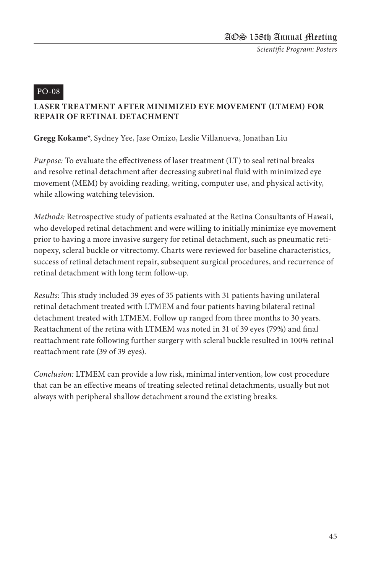#### PO-08

#### **LASER TREATMENT AFTER MINIMIZED EYE MOVEMENT (LTMEM) FOR REPAIR OF RETINAL DETACHMENT**

#### **Gregg Kokame\***, Sydney Yee, Jase Omizo, Leslie Villanueva, Jonathan Liu

*Purpose:* To evaluate the effectiveness of laser treatment (LT) to seal retinal breaks and resolve retinal detachment after decreasing subretinal fluid with minimized eye movement (MEM) by avoiding reading, writing, computer use, and physical activity, while allowing watching television.

*Methods:* Retrospective study of patients evaluated at the Retina Consultants of Hawaii, who developed retinal detachment and were willing to initially minimize eye movement prior to having a more invasive surgery for retinal detachment, such as pneumatic retinopexy, scleral buckle or vitrectomy. Charts were reviewed for baseline characteristics, success of retinal detachment repair, subsequent surgical procedures, and recurrence of retinal detachment with long term follow-up.

*Results:* This study included 39 eyes of 35 patients with 31 patients having unilateral retinal detachment treated with LTMEM and four patients having bilateral retinal detachment treated with LTMEM. Follow up ranged from three months to 30 years. Reattachment of the retina with LTMEM was noted in 31 of 39 eyes (79%) and final reattachment rate following further surgery with scleral buckle resulted in 100% retinal reattachment rate (39 of 39 eyes).

*Conclusion:* LTMEM can provide a low risk, minimal intervention, low cost procedure that can be an effective means of treating selected retinal detachments, usually but not always with peripheral shallow detachment around the existing breaks.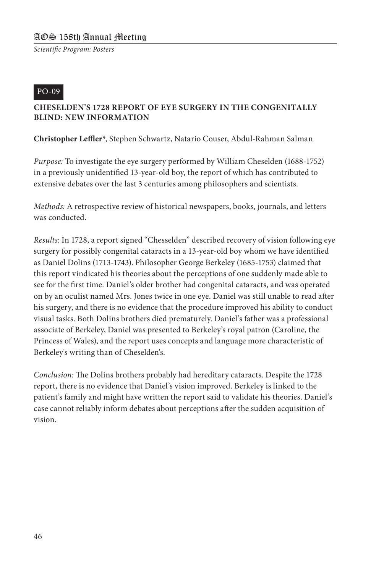#### PO-09

#### **CHESELDEN'S 1728 REPORT OF EYE SURGERY IN THE CONGENITALLY BLIND: NEW INFORMATION**

**Christopher Leffler\***, Stephen Schwartz, Natario Couser, Abdul-Rahman Salman

*Purpose:* To investigate the eye surgery performed by William Cheselden (1688-1752) in a previously unidentified 13-year-old boy, the report of which has contributed to extensive debates over the last 3 centuries among philosophers and scientists.

*Methods:* A retrospective review of historical newspapers, books, journals, and letters was conducted.

*Results:* In 1728, a report signed "Chesselden" described recovery of vision following eye surgery for possibly congenital cataracts in a 13-year-old boy whom we have identified as Daniel Dolins (1713-1743). Philosopher George Berkeley (1685-1753) claimed that this report vindicated his theories about the perceptions of one suddenly made able to see for the first time. Daniel's older brother had congenital cataracts, and was operated on by an oculist named Mrs. Jones twice in one eye. Daniel was still unable to read after his surgery, and there is no evidence that the procedure improved his ability to conduct visual tasks. Both Dolins brothers died prematurely. Daniel's father was a professional associate of Berkeley, Daniel was presented to Berkeley's royal patron (Caroline, the Princess of Wales), and the report uses concepts and language more characteristic of Berkeley's writing than of Cheselden's.

*Conclusion:* The Dolins brothers probably had hereditary cataracts. Despite the 1728 report, there is no evidence that Daniel's vision improved. Berkeley is linked to the patient's family and might have written the report said to validate his theories. Daniel's case cannot reliably inform debates about perceptions after the sudden acquisition of vision.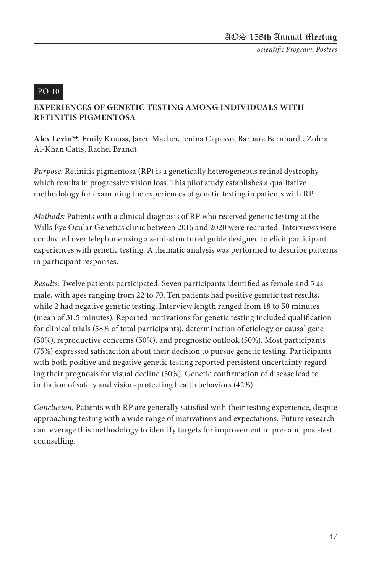#### PO-10

#### **EXPERIENCES OF GENETIC TESTING AMONG INDIVIDUALS WITH RETINITIS PIGMENTOSA**

**Alex Levin\***t, Emily Krauss, Jared Macher, Jenina Capasso, Barbara Bernhardt, Zohra Al-Khan Catts, Rachel Brandt

*Purpose:* Retinitis pigmentosa (RP) is a genetically heterogeneous retinal dystrophy which results in progressive vision loss. This pilot study establishes a qualitative methodology for examining the experiences of genetic testing in patients with RP.

*Methods:* Patients with a clinical diagnosis of RP who received genetic testing at the Wills Eye Ocular Genetics clinic between 2016 and 2020 were recruited. Interviews were conducted over telephone using a semi-structured guide designed to elicit participant experiences with genetic testing. A thematic analysis was performed to describe patterns in participant responses.

*Results:* Twelve patients participated. Seven participants identified as female and 5 as male, with ages ranging from 22 to 70. Ten patients had positive genetic test results, while 2 had negative genetic testing. Interview length ranged from 18 to 50 minutes (mean of 31.5 minutes). Reported motivations for genetic testing included qualification for clinical trials (58% of total participants), determination of etiology or causal gene (50%), reproductive concerns (50%), and prognostic outlook (50%). Most participants (75%) expressed satisfaction about their decision to pursue genetic testing. Participants with both positive and negative genetic testing reported persistent uncertainty regarding their prognosis for visual decline (50%). Genetic confirmation of disease lead to initiation of safety and vision-protecting health behaviors (42%).

*Conclusion:* Patients with RP are generally satisfied with their testing experience, despite approaching testing with a wide range of motivations and expectations. Future research can leverage this methodology to identify targets for improvement in pre- and post-test counselling.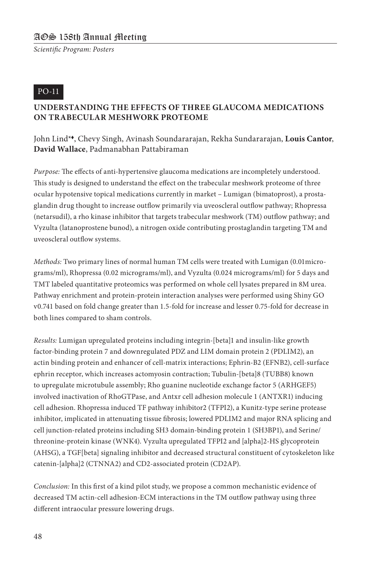#### PO-11

#### **UNDERSTANDING THE EFFECTS OF THREE GLAUCOMA MEDICATIONS ON TRABECULAR MESHWORK PROTEOME**

John Lind\*t, Chevy Singh, Avinash Soundararajan, Rekha Sundararajan, **Louis Cantor**, **David Wallace**, Padmanabhan Pattabiraman

*Purpose:* The effects of anti-hypertensive glaucoma medications are incompletely understood. This study is designed to understand the effect on the trabecular meshwork proteome of three ocular hypotensive topical medications currently in market – Lumigan (bimatoprost), a prostaglandin drug thought to increase outflow primarily via uveoscleral outflow pathway; Rhopressa (netarsudil), a rho kinase inhibitor that targets trabecular meshwork (TM) outflow pathway; and Vyzulta (latanoprostene bunod), a nitrogen oxide contributing prostaglandin targeting TM and uveoscleral outflow systems.

*Methods:* Two primary lines of normal human TM cells were treated with Lumigan (0.01micrograms/ml), Rhopressa (0.02 micrograms/ml), and Vyzulta (0.024 micrograms/ml) for 5 days and TMT labeled quantitative proteomics was performed on whole cell lysates prepared in 8M urea. Pathway enrichment and protein-protein interaction analyses were performed using Shiny GO v0.741 based on fold change greater than 1.5-fold for increase and lesser 0.75-fold for decrease in both lines compared to sham controls.

*Results:* Lumigan upregulated proteins including integrin-[beta]1 and insulin-like growth factor-binding protein 7 and downregulated PDZ and LIM domain protein 2 (PDLIM2), an actin binding protein and enhancer of cell-matrix interactions; Ephrin-B2 (EFNB2), cell-surface ephrin receptor, which increases actomyosin contraction; Tubulin-[beta]8 (TUBB8) known to upregulate microtubule assembly; Rho guanine nucleotide exchange factor 5 (ARHGEF5) involved inactivation of RhoGTPase, and Antxr cell adhesion molecule 1 (ANTXR1) inducing cell adhesion. Rhopressa induced TF pathway inhibitor2 (TFPI2), a Kunitz-type serine protease inhibitor, implicated in attenuating tissue fibrosis; lowered PDLIM2 and major RNA splicing and cell junction-related proteins including SH3 domain-binding protein 1 (SH3BP1), and Serine/ threonine-protein kinase (WNK4). Vyzulta upregulated TFPI2 and [alpha]2-HS glycoprotein (AHSG), a TGF[beta] signaling inhibitor and decreased structural constituent of cytoskeleton like catenin-[alpha]2 (CTNNA2) and CD2-associated protein (CD2AP).

*Conclusion:* In this first of a kind pilot study, we propose a common mechanistic evidence of decreased TM actin-cell adhesion-ECM interactions in the TM outflow pathway using three different intraocular pressure lowering drugs.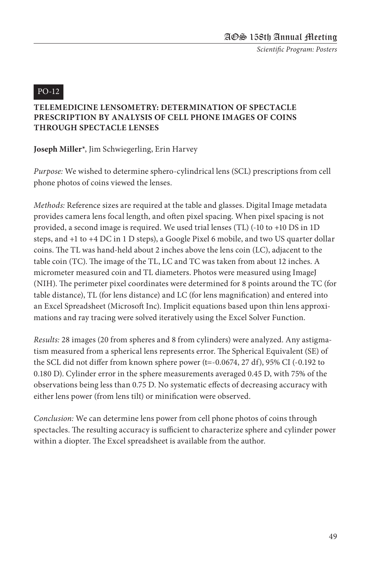#### PO-12

#### **TELEMEDICINE LENSOMETRY: DETERMINATION OF SPECTACLE PRESCRIPTION BY ANALYSIS OF CELL PHONE IMAGES OF COINS THROUGH SPECTACLE LENSES**

**Joseph Miller\***, Jim Schwiegerling, Erin Harvey

*Purpose:* We wished to determine sphero-cylindrical lens (SCL) prescriptions from cell phone photos of coins viewed the lenses.

*Methods:* Reference sizes are required at the table and glasses. Digital Image metadata provides camera lens focal length, and often pixel spacing. When pixel spacing is not provided, a second image is required. We used trial lenses (TL) (-10 to +10 DS in 1D steps, and +1 to +4 DC in 1 D steps), a Google Pixel 6 mobile, and two US quarter dollar coins. The TL was hand-held about 2 inches above the lens coin (LC), adjacent to the table coin (TC). The image of the TL, LC and TC was taken from about 12 inches. A micrometer measured coin and TL diameters. Photos were measured using ImageJ (NIH). The perimeter pixel coordinates were determined for 8 points around the TC (for table distance), TL (for lens distance) and LC (for lens magnification) and entered into an Excel Spreadsheet (Microsoft Inc). Implicit equations based upon thin lens approximations and ray tracing were solved iteratively using the Excel Solver Function.

*Results:* 28 images (20 from spheres and 8 from cylinders) were analyzed. Any astigmatism measured from a spherical lens represents error. The Spherical Equivalent (SE) of the SCL did not differ from known sphere power (t=-0.0674, 27 df), 95% CI (-0.192 to 0.180 D). Cylinder error in the sphere measurements averaged 0.45 D, with 75% of the observations being less than 0.75 D. No systematic effects of decreasing accuracy with either lens power (from lens tilt) or minification were observed.

*Conclusion:* We can determine lens power from cell phone photos of coins through spectacles. The resulting accuracy is sufficient to characterize sphere and cylinder power within a diopter. The Excel spreadsheet is available from the author.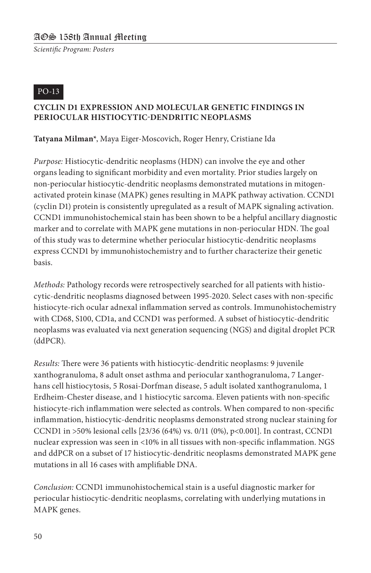#### PO-13

#### **CYCLIN D1 EXPRESSION AND MOLECULAR GENETIC FINDINGS IN PERIOCULAR HISTIOCYTIC-DENDRITIC NEOPLASMS**

**Tatyana Milman\***, Maya Eiger-Moscovich, Roger Henry, Cristiane Ida

*Purpose:* Histiocytic-dendritic neoplasms (HDN) can involve the eye and other organs leading to significant morbidity and even mortality. Prior studies largely on non-periocular histiocytic-dendritic neoplasms demonstrated mutations in mitogenactivated protein kinase (MAPK) genes resulting in MAPK pathway activation. CCND1 (cyclin D1) protein is consistently upregulated as a result of MAPK signaling activation. CCND1 immunohistochemical stain has been shown to be a helpful ancillary diagnostic marker and to correlate with MAPK gene mutations in non-periocular HDN. The goal of this study was to determine whether periocular histiocytic-dendritic neoplasms express CCND1 by immunohistochemistry and to further characterize their genetic basis.

*Methods:* Pathology records were retrospectively searched for all patients with histiocytic-dendritic neoplasms diagnosed between 1995-2020. Select cases with non-specific histiocyte-rich ocular adnexal inflammation served as controls. Immunohistochemistry with CD68, S100, CD1a, and CCND1 was performed. A subset of histiocytic-dendritic neoplasms was evaluated via next generation sequencing (NGS) and digital droplet PCR (ddPCR).

*Results:* There were 36 patients with histiocytic-dendritic neoplasms: 9 juvenile xanthogranuloma, 8 adult onset asthma and periocular xanthogranuloma, 7 Langerhans cell histiocytosis, 5 Rosai-Dorfman disease, 5 adult isolated xanthogranuloma, 1 Erdheim-Chester disease, and 1 histiocytic sarcoma. Eleven patients with non-specific histiocyte-rich inflammation were selected as controls. When compared to non-specific inflammation, histiocytic-dendritic neoplasms demonstrated strong nuclear staining for CCND1 in >50% lesional cells [23/36 (64%) vs. 0/11 (0%), p<0.001]. In contrast, CCND1 nuclear expression was seen in <10% in all tissues with non-specific inflammation. NGS and ddPCR on a subset of 17 histiocytic-dendritic neoplasms demonstrated MAPK gene mutations in all 16 cases with amplifiable DNA.

*Conclusion:* CCND1 immunohistochemical stain is a useful diagnostic marker for periocular histiocytic-dendritic neoplasms, correlating with underlying mutations in MAPK genes.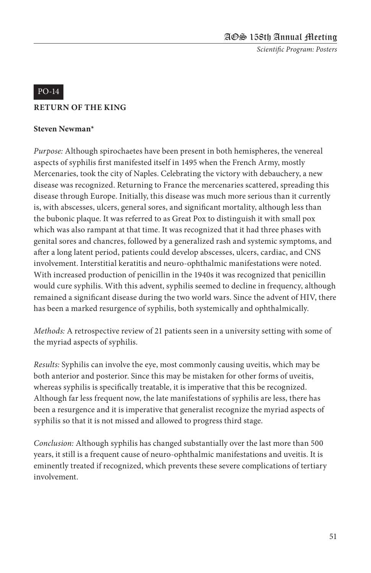#### PO-14

#### **RETURN OF THE KING**

#### **Steven Newman\***

*Purpose:* Although spirochaetes have been present in both hemispheres, the venereal aspects of syphilis first manifested itself in 1495 when the French Army, mostly Mercenaries, took the city of Naples. Celebrating the victory with debauchery, a new disease was recognized. Returning to France the mercenaries scattered, spreading this disease through Europe. Initially, this disease was much more serious than it currently is, with abscesses, ulcers, general sores, and significant mortality, although less than the bubonic plaque. It was referred to as Great Pox to distinguish it with small pox which was also rampant at that time. It was recognized that it had three phases with genital sores and chancres, followed by a generalized rash and systemic symptoms, and after a long latent period, patients could develop abscesses, ulcers, cardiac, and CNS involvement. Interstitial keratitis and neuro-ophthalmic manifestations were noted. With increased production of penicillin in the 1940s it was recognized that penicillin would cure syphilis. With this advent, syphilis seemed to decline in frequency, although remained a significant disease during the two world wars. Since the advent of HIV, there has been a marked resurgence of syphilis, both systemically and ophthalmically.

*Methods:* A retrospective review of 21 patients seen in a university setting with some of the myriad aspects of syphilis.

*Results:* Syphilis can involve the eye, most commonly causing uveitis, which may be both anterior and posterior. Since this may be mistaken for other forms of uveitis, whereas syphilis is specifically treatable, it is imperative that this be recognized. Although far less frequent now, the late manifestations of syphilis are less, there has been a resurgence and it is imperative that generalist recognize the myriad aspects of syphilis so that it is not missed and allowed to progress third stage.

*Conclusion:* Although syphilis has changed substantially over the last more than 500 years, it still is a frequent cause of neuro-ophthalmic manifestations and uveitis. It is eminently treated if recognized, which prevents these severe complications of tertiary involvement.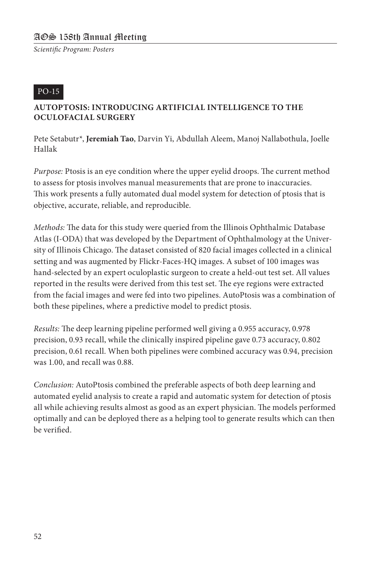#### PO-15

#### **AUTOPTOSIS: INTRODUCING ARTIFICIAL INTELLIGENCE TO THE OCULOFACIAL SURGERY**

Pete Setabutr\*, **Jeremiah Tao**, Darvin Yi, Abdullah Aleem, Manoj Nallabothula, Joelle Hallak

*Purpose:* Ptosis is an eye condition where the upper eyelid droops. The current method to assess for ptosis involves manual measurements that are prone to inaccuracies. This work presents a fully automated dual model system for detection of ptosis that is objective, accurate, reliable, and reproducible.

*Methods:* The data for this study were queried from the Illinois Ophthalmic Database Atlas (I-ODA) that was developed by the Department of Ophthalmology at the University of Illinois Chicago. The dataset consisted of 820 facial images collected in a clinical setting and was augmented by Flickr-Faces-HQ images. A subset of 100 images was hand-selected by an expert oculoplastic surgeon to create a held-out test set. All values reported in the results were derived from this test set. The eye regions were extracted from the facial images and were fed into two pipelines. AutoPtosis was a combination of both these pipelines, where a predictive model to predict ptosis.

*Results:* The deep learning pipeline performed well giving a 0.955 accuracy, 0.978 precision, 0.93 recall, while the clinically inspired pipeline gave 0.73 accuracy, 0.802 precision, 0.61 recall. When both pipelines were combined accuracy was 0.94, precision was 1.00, and recall was 0.88.

*Conclusion:* AutoPtosis combined the preferable aspects of both deep learning and automated eyelid analysis to create a rapid and automatic system for detection of ptosis all while achieving results almost as good as an expert physician. The models performed optimally and can be deployed there as a helping tool to generate results which can then be verified.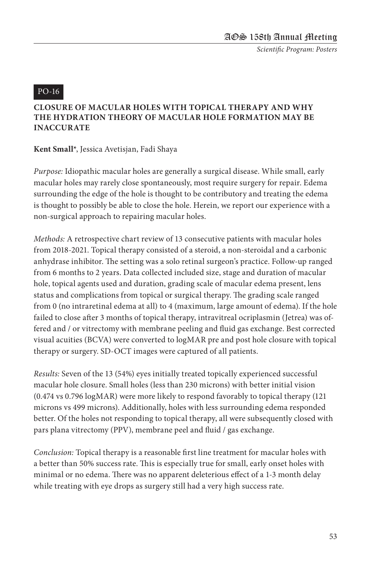#### PO-16

#### **CLOSURE OF MACULAR HOLES WITH TOPICAL THERAPY AND WHY THE HYDRATION THEORY OF MACULAR HOLE FORMATION MAY BE INACCURATE**

**Kent Small\***, Jessica Avetisjan, Fadi Shaya

*Purpose:* Idiopathic macular holes are generally a surgical disease. While small, early macular holes may rarely close spontaneously, most require surgery for repair. Edema surrounding the edge of the hole is thought to be contributory and treating the edema is thought to possibly be able to close the hole. Herein, we report our experience with a non-surgical approach to repairing macular holes.

*Methods:* A retrospective chart review of 13 consecutive patients with macular holes from 2018-2021. Topical therapy consisted of a steroid, a non-steroidal and a carbonic anhydrase inhibitor. The setting was a solo retinal surgeon's practice. Follow-up ranged from 6 months to 2 years. Data collected included size, stage and duration of macular hole, topical agents used and duration, grading scale of macular edema present, lens status and complications from topical or surgical therapy. The grading scale ranged from 0 (no intraretinal edema at all) to 4 (maximum, large amount of edema). If the hole failed to close after 3 months of topical therapy, intravitreal ocriplasmin (Jetrea) was offered and / or vitrectomy with membrane peeling and fluid gas exchange. Best corrected visual acuities (BCVA) were converted to logMAR pre and post hole closure with topical therapy or surgery. SD-OCT images were captured of all patients.

*Results:* Seven of the 13 (54%) eyes initially treated topically experienced successful macular hole closure. Small holes (less than 230 microns) with better initial vision (0.474 vs 0.796 logMAR) were more likely to respond favorably to topical therapy (121 microns vs 499 microns). Additionally, holes with less surrounding edema responded better. Of the holes not responding to topical therapy, all were subsequently closed with pars plana vitrectomy (PPV), membrane peel and fluid / gas exchange.

*Conclusion:* Topical therapy is a reasonable first line treatment for macular holes with a better than 50% success rate. This is especially true for small, early onset holes with minimal or no edema. There was no apparent deleterious effect of a 1-3 month delay while treating with eye drops as surgery still had a very high success rate.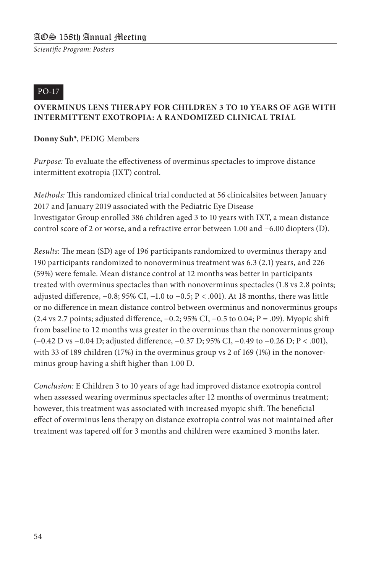#### PO-17

#### **OVERMINUS LENS THERAPY FOR CHILDREN 3 TO 10 YEARS OF AGE WITH INTERMITTENT EXOTROPIA: A RANDOMIZED CLINICAL TRIAL**

**Donny Suh\***, PEDIG Members

*Purpose:* To evaluate the effectiveness of overminus spectacles to improve distance intermittent exotropia (IXT) control.

*Methods:* This randomized clinical trial conducted at 56 clinicalsites between January 2017 and January 2019 associated with the Pediatric Eye Disease Investigator Group enrolled 386 children aged 3 to 10 years with IXT, a mean distance control score of 2 or worse, and a refractive error between 1.00 and −6.00 diopters (D).

*Results:* The mean (SD) age of 196 participants randomized to overminus therapy and 190 participants randomized to nonoverminus treatment was 6.3 (2.1) years, and 226 (59%) were female. Mean distance control at 12 months was better in participants treated with overminus spectacles than with nonoverminus spectacles (1.8 vs 2.8 points; adjusted difference, −0.8; 95% CI, −1.0 to −0.5; P < .001). At 18 months, there was little or no difference in mean distance control between overminus and nonoverminus groups (2.4 vs 2.7 points; adjusted difference, −0.2; 95% CI, −0.5 to 0.04; P = .09). Myopic shift from baseline to 12 months was greater in the overminus than the nonoverminus group (−0.42 D vs −0.04 D; adjusted difference, −0.37 D; 95% CI, −0.49 to −0.26 D; P < .001), with 33 of 189 children (17%) in the overminus group vs 2 of 169 (1%) in the nonoverminus group having a shift higher than 1.00 D.

*Conclusion:* E Children 3 to 10 years of age had improved distance exotropia control when assessed wearing overminus spectacles after 12 months of overminus treatment; however, this treatment was associated with increased myopic shift. The beneficial effect of overminus lens therapy on distance exotropia control was not maintained after treatment was tapered off for 3 months and children were examined 3 months later.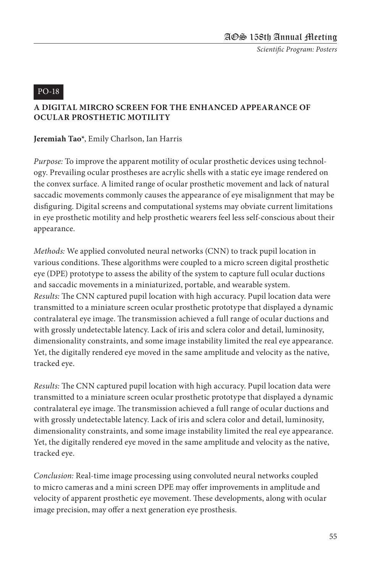#### PO-18

#### **A DIGITAL MIRCRO SCREEN FOR THE ENHANCED APPEARANCE OF OCULAR PROSTHETIC MOTILITY**

**Jeremiah Tao\***, Emily Charlson, Ian Harris

*Purpose:* To improve the apparent motility of ocular prosthetic devices using technology. Prevailing ocular prostheses are acrylic shells with a static eye image rendered on the convex surface. A limited range of ocular prosthetic movement and lack of natural saccadic movements commonly causes the appearance of eye misalignment that may be disfiguring. Digital screens and computational systems may obviate current limitations in eye prosthetic motility and help prosthetic wearers feel less self-conscious about their appearance.

*Methods:* We applied convoluted neural networks (CNN) to track pupil location in various conditions. These algorithms were coupled to a micro screen digital prosthetic eye (DPE) prototype to assess the ability of the system to capture full ocular ductions and saccadic movements in a miniaturized, portable, and wearable system. *Results:* The CNN captured pupil location with high accuracy. Pupil location data were transmitted to a miniature screen ocular prosthetic prototype that displayed a dynamic contralateral eye image. The transmission achieved a full range of ocular ductions and with grossly undetectable latency. Lack of iris and sclera color and detail, luminosity, dimensionality constraints, and some image instability limited the real eye appearance. Yet, the digitally rendered eye moved in the same amplitude and velocity as the native, tracked eye.

*Results:* The CNN captured pupil location with high accuracy. Pupil location data were transmitted to a miniature screen ocular prosthetic prototype that displayed a dynamic contralateral eye image. The transmission achieved a full range of ocular ductions and with grossly undetectable latency. Lack of iris and sclera color and detail, luminosity, dimensionality constraints, and some image instability limited the real eye appearance. Yet, the digitally rendered eye moved in the same amplitude and velocity as the native, tracked eye.

*Conclusion:* Real-time image processing using convoluted neural networks coupled to micro cameras and a mini screen DPE may offer improvements in amplitude and velocity of apparent prosthetic eye movement. These developments, along with ocular image precision, may offer a next generation eye prosthesis.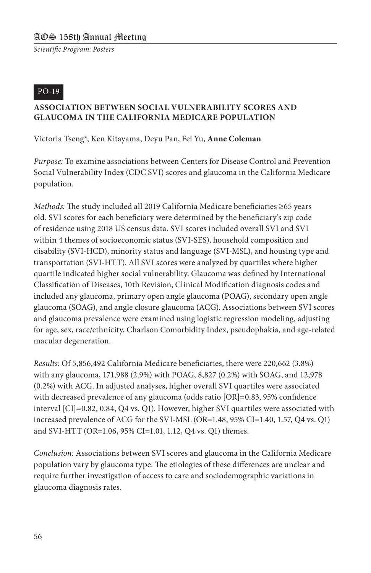#### PO-19

#### **ASSOCIATION BETWEEN SOCIAL VULNERABILITY SCORES AND GLAUCOMA IN THE CALIFORNIA MEDICARE POPULATION**

Victoria Tseng\*, Ken Kitayama, Deyu Pan, Fei Yu, **Anne Coleman**

*Purpose:* To examine associations between Centers for Disease Control and Prevention Social Vulnerability Index (CDC SVI) scores and glaucoma in the California Medicare population.

*Methods:* The study included all 2019 California Medicare beneficiaries ≥65 years old. SVI scores for each beneficiary were determined by the beneficiary's zip code of residence using 2018 US census data. SVI scores included overall SVI and SVI within 4 themes of socioeconomic status (SVI-SES), household composition and disability (SVI-HCD), minority status and language (SVI-MSL), and housing type and transportation (SVI-HTT). All SVI scores were analyzed by quartiles where higher quartile indicated higher social vulnerability. Glaucoma was defined by International Classification of Diseases, 10th Revision, Clinical Modification diagnosis codes and included any glaucoma, primary open angle glaucoma (POAG), secondary open angle glaucoma (SOAG), and angle closure glaucoma (ACG). Associations between SVI scores and glaucoma prevalence were examined using logistic regression modeling, adjusting for age, sex, race/ethnicity, Charlson Comorbidity Index, pseudophakia, and age-related macular degeneration.

*Results:* Of 5,856,492 California Medicare beneficiaries, there were 220,662 (3.8%) with any glaucoma, 171,988 (2.9%) with POAG, 8,827 (0.2%) with SOAG, and 12,978 (0.2%) with ACG. In adjusted analyses, higher overall SVI quartiles were associated with decreased prevalence of any glaucoma (odds ratio [OR]=0.83, 95% confidence interval [CI]=0.82, 0.84, Q4 vs. Q1). However, higher SVI quartiles were associated with increased prevalence of ACG for the SVI-MSL (OR=1.48, 95% CI=1.40, 1.57, Q4 vs. Q1) and SVI-HTT (OR=1.06, 95% CI=1.01, 1.12, Q4 vs. Q1) themes.

*Conclusion:* Associations between SVI scores and glaucoma in the California Medicare population vary by glaucoma type. The etiologies of these differences are unclear and require further investigation of access to care and sociodemographic variations in glaucoma diagnosis rates.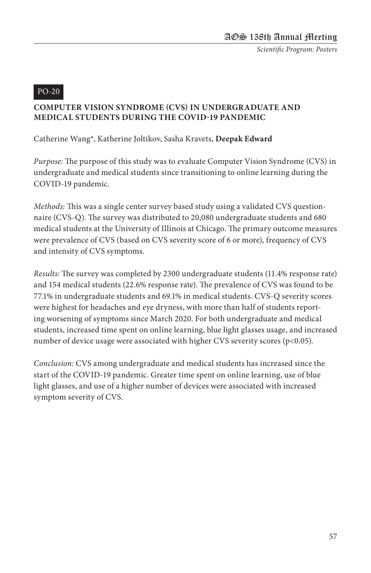#### PO-20

#### **COMPUTER VISION SYNDROME (CVS) IN UNDERGRADUATE AND MEDICAL STUDENTS DURING THE COVID-19 PANDEMIC**

Catherine Wang\*, Katherine Joltikov, Sasha Kravets, **Deepak Edward**

*Purpose:* The purpose of this study was to evaluate Computer Vision Syndrome (CVS) in undergraduate and medical students since transitioning to online learning during the COVID-19 pandemic.

*Methods:* This was a single center survey based study using a validated CVS questionnaire (CVS-Q). The survey was distributed to 20,080 undergraduate students and 680 medical students at the University of Illinois at Chicago. The primary outcome measures were prevalence of CVS (based on CVS severity score of 6 or more), frequency of CVS and intensity of CVS symptoms.

*Results:* The survey was completed by 2300 undergraduate students (11.4% response rate) and 154 medical students (22.6% response rate). The prevalence of CVS was found to be 77.1% in undergraduate students and 69.1% in medical students. CVS-Q severity scores were highest for headaches and eye dryness, with more than half of students reporting worsening of symptoms since March 2020. For both undergraduate and medical students, increased time spent on online learning, blue light glasses usage, and increased number of device usage were associated with higher CVS severity scores (p<0.05).

*Conclusion:* CVS among undergraduate and medical students has increased since the start of the COVID-19 pandemic. Greater time spent on online learning, use of blue light glasses, and use of a higher number of devices were associated with increased symptom severity of CVS.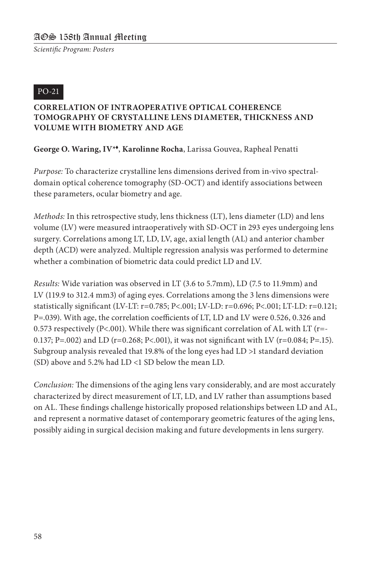#### PO-21

#### **CORRELATION OF INTRAOPERATIVE OPTICAL COHERENCE TOMOGRAPHY OF CRYSTALLINE LENS DIAMETER, THICKNESS AND VOLUME WITH BIOMETRY AND AGE**

#### **George O. Waring, IV\***t, **Karolinne Rocha**, Larissa Gouvea, Rapheal Penatti

*Purpose:* To characterize crystalline lens dimensions derived from in-vivo spectraldomain optical coherence tomography (SD-OCT) and identify associations between these parameters, ocular biometry and age.

*Methods:* In this retrospective study, lens thickness (LT), lens diameter (LD) and lens volume (LV) were measured intraoperatively with SD-OCT in 293 eyes undergoing lens surgery. Correlations among LT, LD, LV, age, axial length (AL) and anterior chamber depth (ACD) were analyzed. Multiple regression analysis was performed to determine whether a combination of biometric data could predict LD and LV.

*Results:* Wide variation was observed in LT (3.6 to 5.7mm), LD (7.5 to 11.9mm) and LV (119.9 to 312.4 mm3) of aging eyes. Correlations among the 3 lens dimensions were statistically significant (LV-LT: r=0.785; P<.001; LV-LD: r=0.696; P<.001; LT-LD: r=0.121; P=.039). With age, the correlation coefficients of LT, LD and LV were 0.526, 0.326 and 0.573 respectively (P<.001). While there was significant correlation of AL with LT ( $r=$ -0.137; P=.002) and LD (r=0.268; P<.001), it was not significant with LV (r=0.084; P=.15). Subgroup analysis revealed that 19.8% of the long eyes had LD >1 standard deviation (SD) above and 5.2% had LD <1 SD below the mean LD.

*Conclusion:* The dimensions of the aging lens vary considerably, and are most accurately characterized by direct measurement of LT, LD, and LV rather than assumptions based on AL. These findings challenge historically proposed relationships between LD and AL, and represent a normative dataset of contemporary geometric features of the aging lens, possibly aiding in surgical decision making and future developments in lens surgery.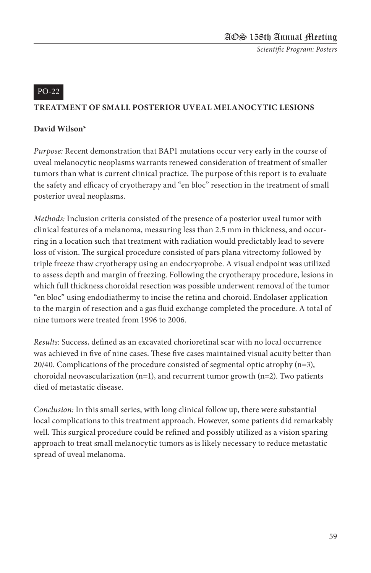#### PO-22

#### **TREATMENT OF SMALL POSTERIOR UVEAL MELANOCYTIC LESIONS**

#### **David Wilson\***

*Purpose:* Recent demonstration that BAP1 mutations occur very early in the course of uveal melanocytic neoplasms warrants renewed consideration of treatment of smaller tumors than what is current clinical practice. The purpose of this report is to evaluate the safety and efficacy of cryotherapy and "en bloc" resection in the treatment of small posterior uveal neoplasms.

*Methods:* Inclusion criteria consisted of the presence of a posterior uveal tumor with clinical features of a melanoma, measuring less than 2.5 mm in thickness, and occurring in a location such that treatment with radiation would predictably lead to severe loss of vision. The surgical procedure consisted of pars plana vitrectomy followed by triple freeze thaw cryotherapy using an endocryoprobe. A visual endpoint was utilized to assess depth and margin of freezing. Following the cryotherapy procedure, lesions in which full thickness choroidal resection was possible underwent removal of the tumor "en bloc" using endodiathermy to incise the retina and choroid. Endolaser application to the margin of resection and a gas fluid exchange completed the procedure. A total of nine tumors were treated from 1996 to 2006.

*Results:* Success, defined as an excavated chorioretinal scar with no local occurrence was achieved in five of nine cases. These five cases maintained visual acuity better than  $20/40$ . Complications of the procedure consisted of segmental optic atrophy  $(n=3)$ , choroidal neovascularization  $(n=1)$ , and recurrent tumor growth  $(n=2)$ . Two patients died of metastatic disease.

*Conclusion:* In this small series, with long clinical follow up, there were substantial local complications to this treatment approach. However, some patients did remarkably well. This surgical procedure could be refined and possibly utilized as a vision sparing approach to treat small melanocytic tumors as is likely necessary to reduce metastatic spread of uveal melanoma.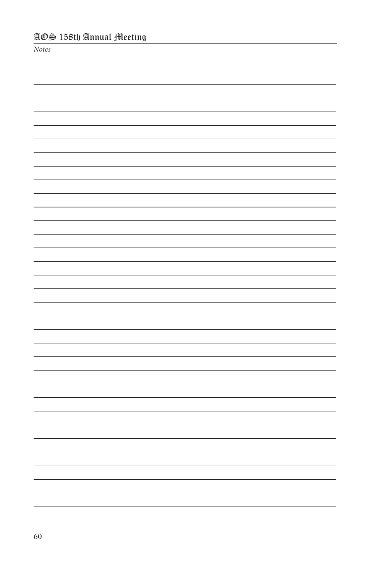*Notes*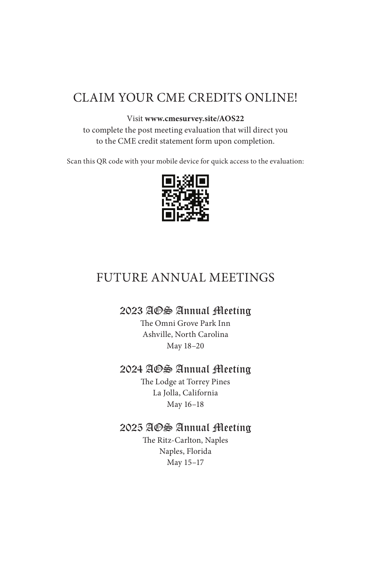### CLAIM YOUR CME CREDITS ONLINE!

#### Visit **www.cmesurvey.site/AOS22**

to complete the post meeting evaluation that will direct you to the CME credit statement form upon completion.

Scan this QR code with your mobile device for quick access to the evaluation:



### FUTURE ANNUAL MEETINGS

#### 2023 AOS Annual Meeting

The Omni Grove Park Inn Ashville, North Carolina May 18–20

#### 2024 AOS Annual Meeting

The Lodge at Torrey Pines La Jolla, California May 16–18

#### 2025 AOS Annual Meeting

The Ritz-Carlton, Naples Naples, Florida May 15–17